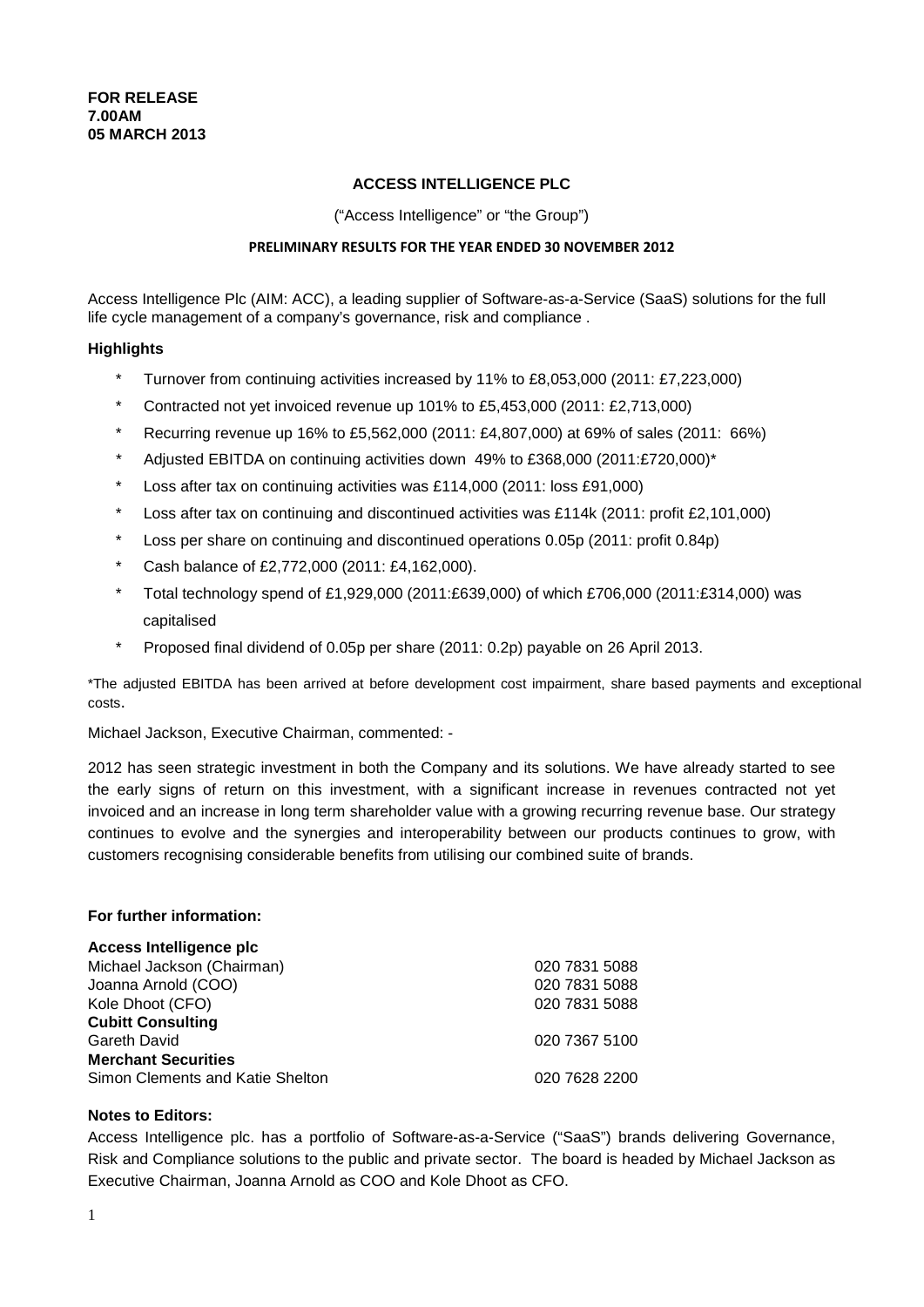### **ACCESS INTELLIGENCE PLC**

("Access Intelligence" or "the Group")

### **PRELIMINARY RESULTS FOR THE YEAR ENDED 30 NOVEMBER 2012**

Access Intelligence Plc (AIM: ACC), a leading supplier of Software-as-a-Service (SaaS) solutions for the full life cycle management of a company's governance, risk and compliance .

### **Highlights**

- \* Turnover from continuing activities increased by 11% to £8,053,000 (2011: £7,223,000)
- \* Contracted not yet invoiced revenue up 101% to £5,453,000 (2011: £2,713,000)
- \* Recurring revenue up 16% to £5,562,000 (2011: £4,807,000) at 69% of sales (2011: 66%)
- \* Adjusted EBITDA on continuing activities down 49% to £368,000 (2011:£720,000)\*
- \* Loss after tax on continuing activities was £114,000 (2011: loss £91,000)
- \* Loss after tax on continuing and discontinued activities was £114k (2011: profit £2,101,000)
- \* Loss per share on continuing and discontinued operations 0.05p (2011: profit 0.84p)
- \* Cash balance of £2,772,000 (2011: £4,162,000).
- \* Total technology spend of £1,929,000 (2011:£639,000) of which £706,000 (2011:£314,000) was capitalised
- \* Proposed final dividend of 0.05p per share (2011: 0.2p) payable on 26 April 2013.

\*The adjusted EBITDA has been arrived at before development cost impairment, share based payments and exceptional costs.

Michael Jackson, Executive Chairman, commented: -

2012 has seen strategic investment in both the Company and its solutions. We have already started to see the early signs of return on this investment, with a significant increase in revenues contracted not yet invoiced and an increase in long term shareholder value with a growing recurring revenue base. Our strategy continues to evolve and the synergies and interoperability between our products continues to grow, with customers recognising considerable benefits from utilising our combined suite of brands.

### **For further information:**

### **Access Intelligence plc**

| Michael Jackson (Chairman)       | 020 7831 5088 |
|----------------------------------|---------------|
| Joanna Arnold (COO)              | 020 7831 5088 |
| Kole Dhoot (CFO)                 | 020 7831 5088 |
| <b>Cubitt Consulting</b>         |               |
| Gareth David                     | 020 7367 5100 |
| <b>Merchant Securities</b>       |               |
| Simon Clements and Katie Shelton | 020 7628 2200 |
|                                  |               |

### **Notes to Editors:**

Access Intelligence plc. has a portfolio of Software-as-a-Service ("SaaS") brands delivering Governance, Risk and Compliance solutions to the public and private sector. The board is headed by Michael Jackson as Executive Chairman, Joanna Arnold as COO and Kole Dhoot as CFO.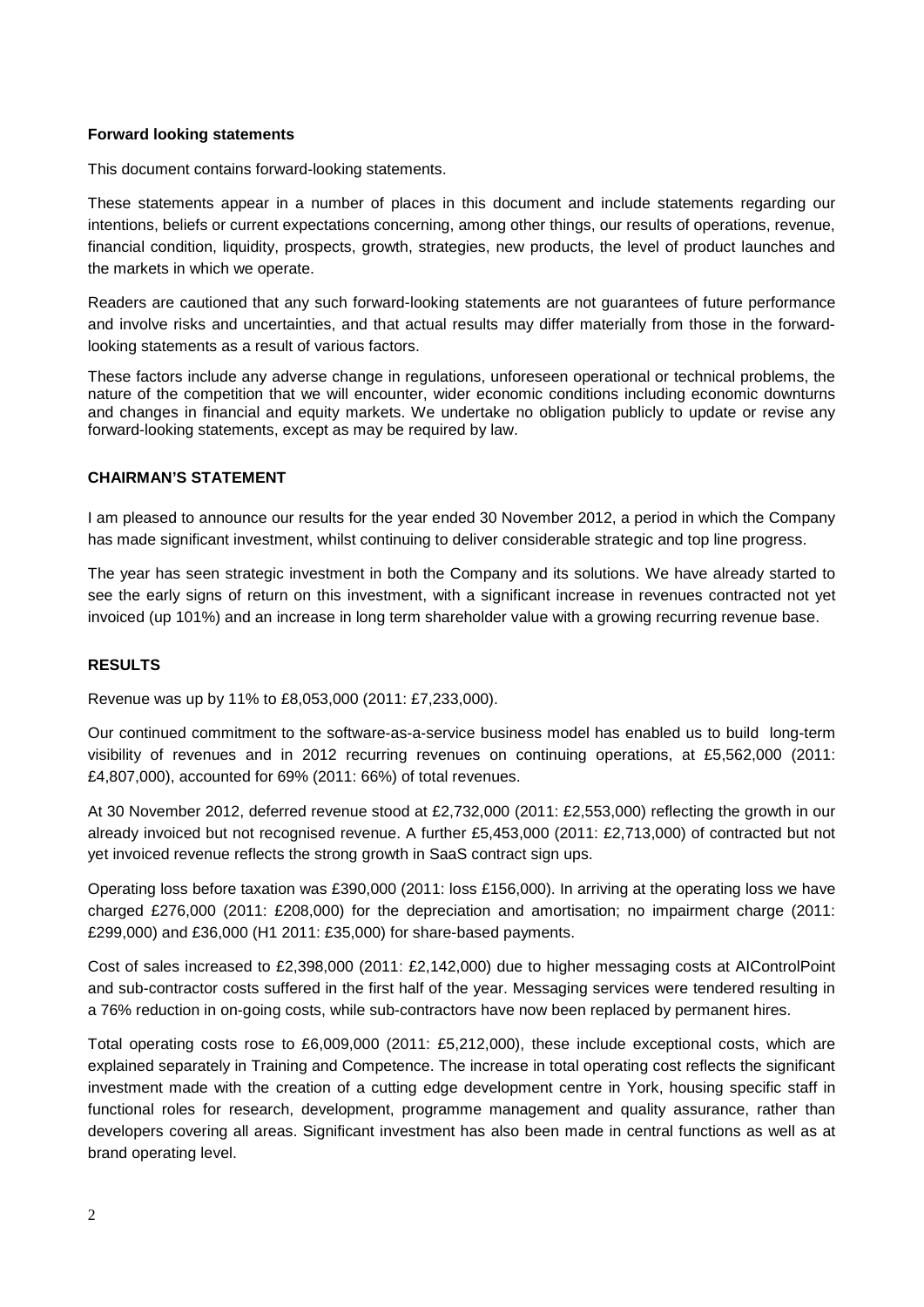### **Forward looking statements**

This document contains forward-looking statements.

These statements appear in a number of places in this document and include statements regarding our intentions, beliefs or current expectations concerning, among other things, our results of operations, revenue, financial condition, liquidity, prospects, growth, strategies, new products, the level of product launches and the markets in which we operate.

Readers are cautioned that any such forward-looking statements are not guarantees of future performance and involve risks and uncertainties, and that actual results may differ materially from those in the forwardlooking statements as a result of various factors.

These factors include any adverse change in regulations, unforeseen operational or technical problems, the nature of the competition that we will encounter, wider economic conditions including economic downturns and changes in financial and equity markets. We undertake no obligation publicly to update or revise any forward-looking statements, except as may be required by law.

### **CHAIRMAN'S STATEMENT**

I am pleased to announce our results for the year ended 30 November 2012, a period in which the Company has made significant investment, whilst continuing to deliver considerable strategic and top line progress.

The year has seen strategic investment in both the Company and its solutions. We have already started to see the early signs of return on this investment, with a significant increase in revenues contracted not yet invoiced (up 101%) and an increase in long term shareholder value with a growing recurring revenue base.

### **RESULTS**

Revenue was up by 11% to £8,053,000 (2011: £7,233,000).

Our continued commitment to the software-as-a-service business model has enabled us to build long-term visibility of revenues and in 2012 recurring revenues on continuing operations, at £5,562,000 (2011: £4,807,000), accounted for 69% (2011: 66%) of total revenues.

At 30 November 2012, deferred revenue stood at £2,732,000 (2011: £2,553,000) reflecting the growth in our already invoiced but not recognised revenue. A further £5,453,000 (2011: £2,713,000) of contracted but not yet invoiced revenue reflects the strong growth in SaaS contract sign ups.

Operating loss before taxation was £390,000 (2011: loss £156,000). In arriving at the operating loss we have charged £276,000 (2011: £208,000) for the depreciation and amortisation; no impairment charge (2011: £299,000) and £36,000 (H1 2011: £35,000) for share-based payments.

Cost of sales increased to £2,398,000 (2011: £2,142,000) due to higher messaging costs at AIControlPoint and sub-contractor costs suffered in the first half of the year. Messaging services were tendered resulting in a 76% reduction in on-going costs, while sub-contractors have now been replaced by permanent hires.

Total operating costs rose to £6,009,000 (2011: £5,212,000), these include exceptional costs, which are explained separately in Training and Competence. The increase in total operating cost reflects the significant investment made with the creation of a cutting edge development centre in York, housing specific staff in functional roles for research, development, programme management and quality assurance, rather than developers covering all areas. Significant investment has also been made in central functions as well as at brand operating level.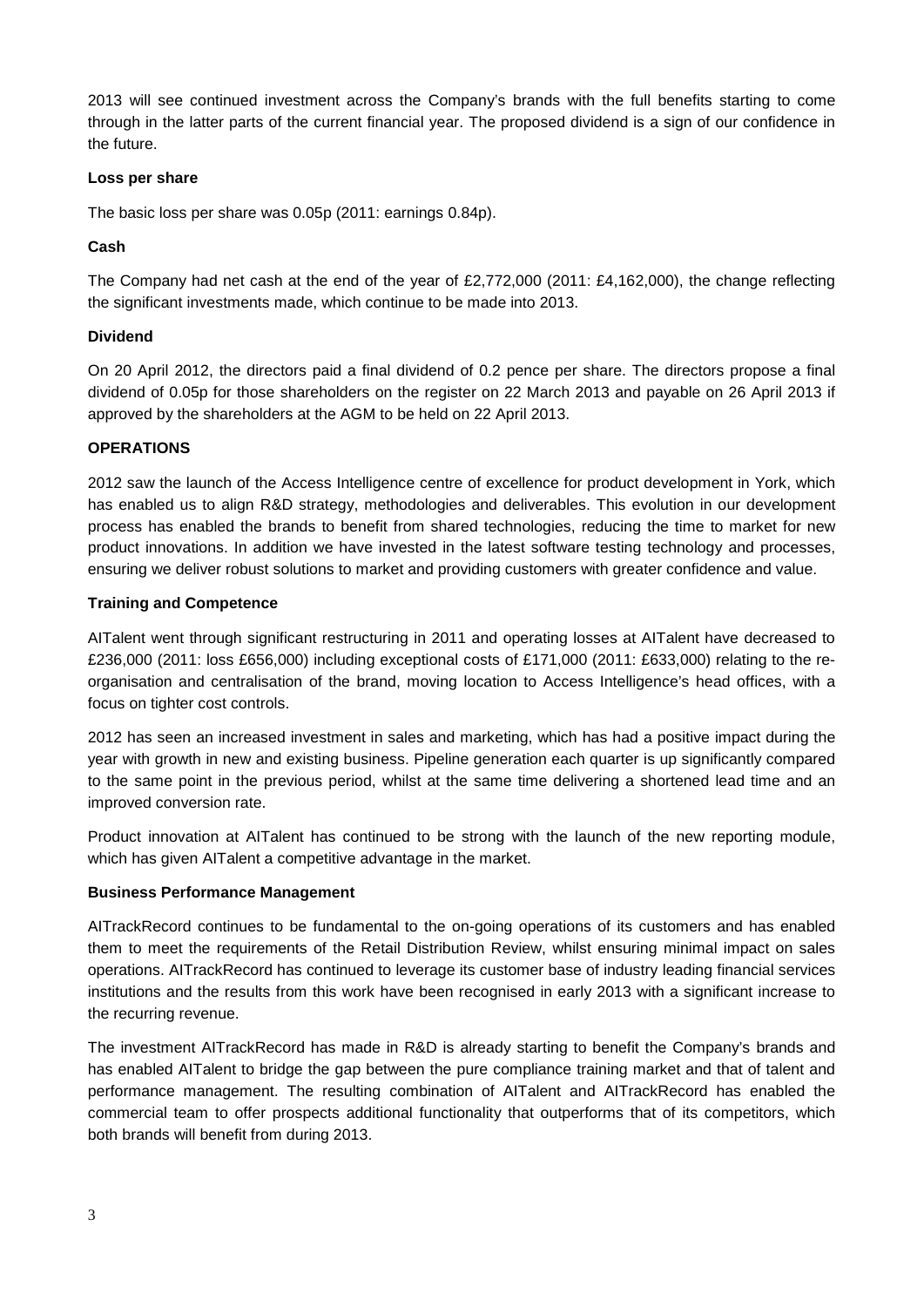2013 will see continued investment across the Company's brands with the full benefits starting to come through in the latter parts of the current financial year. The proposed dividend is a sign of our confidence in the future.

### **Loss per share**

The basic loss per share was 0.05p (2011: earnings 0.84p).

## **Cash**

The Company had net cash at the end of the year of £2,772,000 (2011: £4,162,000), the change reflecting the significant investments made, which continue to be made into 2013.

## **Dividend**

On 20 April 2012, the directors paid a final dividend of 0.2 pence per share. The directors propose a final dividend of 0.05p for those shareholders on the register on 22 March 2013 and payable on 26 April 2013 if approved by the shareholders at the AGM to be held on 22 April 2013.

## **OPERATIONS**

2012 saw the launch of the Access Intelligence centre of excellence for product development in York, which has enabled us to align R&D strategy, methodologies and deliverables. This evolution in our development process has enabled the brands to benefit from shared technologies, reducing the time to market for new product innovations. In addition we have invested in the latest software testing technology and processes, ensuring we deliver robust solutions to market and providing customers with greater confidence and value.

## **Training and Competence**

AITalent went through significant restructuring in 2011 and operating losses at AITalent have decreased to £236,000 (2011: loss £656,000) including exceptional costs of £171,000 (2011: £633,000) relating to the reorganisation and centralisation of the brand, moving location to Access Intelligence's head offices, with a focus on tighter cost controls.

2012 has seen an increased investment in sales and marketing, which has had a positive impact during the year with growth in new and existing business. Pipeline generation each quarter is up significantly compared to the same point in the previous period, whilst at the same time delivering a shortened lead time and an improved conversion rate.

Product innovation at AITalent has continued to be strong with the launch of the new reporting module, which has given AITalent a competitive advantage in the market.

### **Business Performance Management**

AITrackRecord continues to be fundamental to the on-going operations of its customers and has enabled them to meet the requirements of the Retail Distribution Review, whilst ensuring minimal impact on sales operations. AITrackRecord has continued to leverage its customer base of industry leading financial services institutions and the results from this work have been recognised in early 2013 with a significant increase to the recurring revenue.

The investment AITrackRecord has made in R&D is already starting to benefit the Company's brands and has enabled AITalent to bridge the gap between the pure compliance training market and that of talent and performance management. The resulting combination of AITalent and AITrackRecord has enabled the commercial team to offer prospects additional functionality that outperforms that of its competitors, which both brands will benefit from during 2013.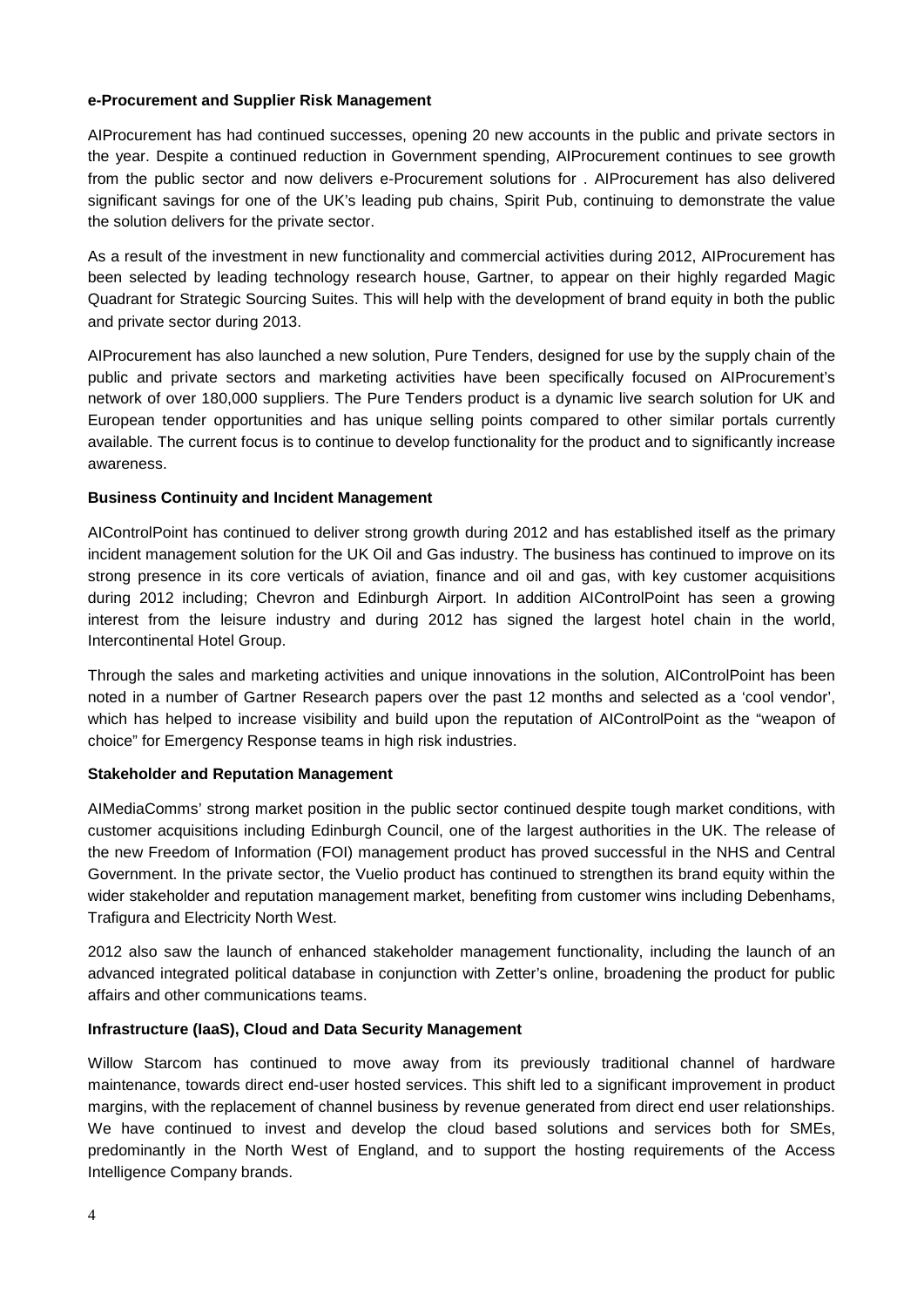### **e-Procurement and Supplier Risk Management**

AIProcurement has had continued successes, opening 20 new accounts in the public and private sectors in the year. Despite a continued reduction in Government spending, AIProcurement continues to see growth from the public sector and now delivers e-Procurement solutions for . AIProcurement has also delivered significant savings for one of the UK's leading pub chains, Spirit Pub, continuing to demonstrate the value the solution delivers for the private sector.

As a result of the investment in new functionality and commercial activities during 2012, AIProcurement has been selected by leading technology research house, Gartner, to appear on their highly regarded Magic Quadrant for Strategic Sourcing Suites. This will help with the development of brand equity in both the public and private sector during 2013.

AIProcurement has also launched a new solution, Pure Tenders, designed for use by the supply chain of the public and private sectors and marketing activities have been specifically focused on AIProcurement's network of over 180,000 suppliers. The Pure Tenders product is a dynamic live search solution for UK and European tender opportunities and has unique selling points compared to other similar portals currently available. The current focus is to continue to develop functionality for the product and to significantly increase awareness.

### **Business Continuity and Incident Management**

AIControlPoint has continued to deliver strong growth during 2012 and has established itself as the primary incident management solution for the UK Oil and Gas industry. The business has continued to improve on its strong presence in its core verticals of aviation, finance and oil and gas, with key customer acquisitions during 2012 including; Chevron and Edinburgh Airport. In addition AIControlPoint has seen a growing interest from the leisure industry and during 2012 has signed the largest hotel chain in the world, Intercontinental Hotel Group.

Through the sales and marketing activities and unique innovations in the solution, AIControlPoint has been noted in a number of Gartner Research papers over the past 12 months and selected as a 'cool vendor', which has helped to increase visibility and build upon the reputation of AIControlPoint as the "weapon of choice" for Emergency Response teams in high risk industries.

### **Stakeholder and Reputation Management**

AIMediaComms' strong market position in the public sector continued despite tough market conditions, with customer acquisitions including Edinburgh Council, one of the largest authorities in the UK. The release of the new Freedom of Information (FOI) management product has proved successful in the NHS and Central Government. In the private sector, the Vuelio product has continued to strengthen its brand equity within the wider stakeholder and reputation management market, benefiting from customer wins including Debenhams, Trafigura and Electricity North West.

2012 also saw the launch of enhanced stakeholder management functionality, including the launch of an advanced integrated political database in conjunction with Zetter's online, broadening the product for public affairs and other communications teams.

### **Infrastructure (IaaS), Cloud and Data Security Management**

Willow Starcom has continued to move away from its previously traditional channel of hardware maintenance, towards direct end-user hosted services. This shift led to a significant improvement in product margins, with the replacement of channel business by revenue generated from direct end user relationships. We have continued to invest and develop the cloud based solutions and services both for SMEs, predominantly in the North West of England, and to support the hosting requirements of the Access Intelligence Company brands.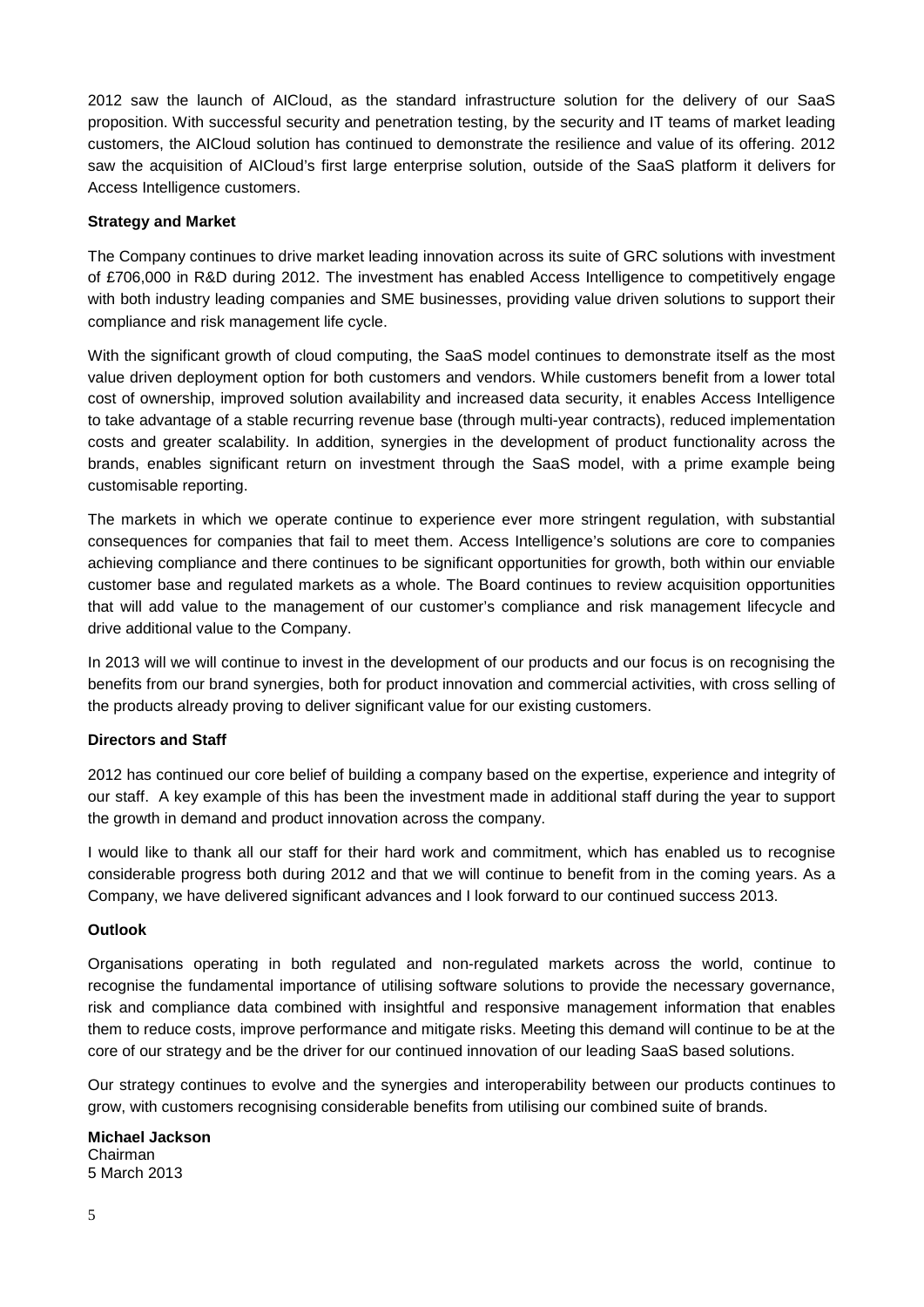2012 saw the launch of AICloud, as the standard infrastructure solution for the delivery of our SaaS proposition. With successful security and penetration testing, by the security and IT teams of market leading customers, the AICloud solution has continued to demonstrate the resilience and value of its offering. 2012 saw the acquisition of AICloud's first large enterprise solution, outside of the SaaS platform it delivers for Access Intelligence customers.

### **Strategy and Market**

The Company continues to drive market leading innovation across its suite of GRC solutions with investment of £706,000 in R&D during 2012. The investment has enabled Access Intelligence to competitively engage with both industry leading companies and SME businesses, providing value driven solutions to support their compliance and risk management life cycle.

With the significant growth of cloud computing, the SaaS model continues to demonstrate itself as the most value driven deployment option for both customers and vendors. While customers benefit from a lower total cost of ownership, improved solution availability and increased data security, it enables Access Intelligence to take advantage of a stable recurring revenue base (through multi-year contracts), reduced implementation costs and greater scalability. In addition, synergies in the development of product functionality across the brands, enables significant return on investment through the SaaS model, with a prime example being customisable reporting.

The markets in which we operate continue to experience ever more stringent regulation, with substantial consequences for companies that fail to meet them. Access Intelligence's solutions are core to companies achieving compliance and there continues to be significant opportunities for growth, both within our enviable customer base and regulated markets as a whole. The Board continues to review acquisition opportunities that will add value to the management of our customer's compliance and risk management lifecycle and drive additional value to the Company.

In 2013 will we will continue to invest in the development of our products and our focus is on recognising the benefits from our brand synergies, both for product innovation and commercial activities, with cross selling of the products already proving to deliver significant value for our existing customers.

### **Directors and Staff**

2012 has continued our core belief of building a company based on the expertise, experience and integrity of our staff. A key example of this has been the investment made in additional staff during the year to support the growth in demand and product innovation across the company.

I would like to thank all our staff for their hard work and commitment, which has enabled us to recognise considerable progress both during 2012 and that we will continue to benefit from in the coming years. As a Company, we have delivered significant advances and I look forward to our continued success 2013.

#### **Outlook**

Organisations operating in both regulated and non-regulated markets across the world, continue to recognise the fundamental importance of utilising software solutions to provide the necessary governance, risk and compliance data combined with insightful and responsive management information that enables them to reduce costs, improve performance and mitigate risks. Meeting this demand will continue to be at the core of our strategy and be the driver for our continued innovation of our leading SaaS based solutions.

Our strategy continues to evolve and the synergies and interoperability between our products continues to grow, with customers recognising considerable benefits from utilising our combined suite of brands.

#### **Michael Jackson** Chairman 5 March 2013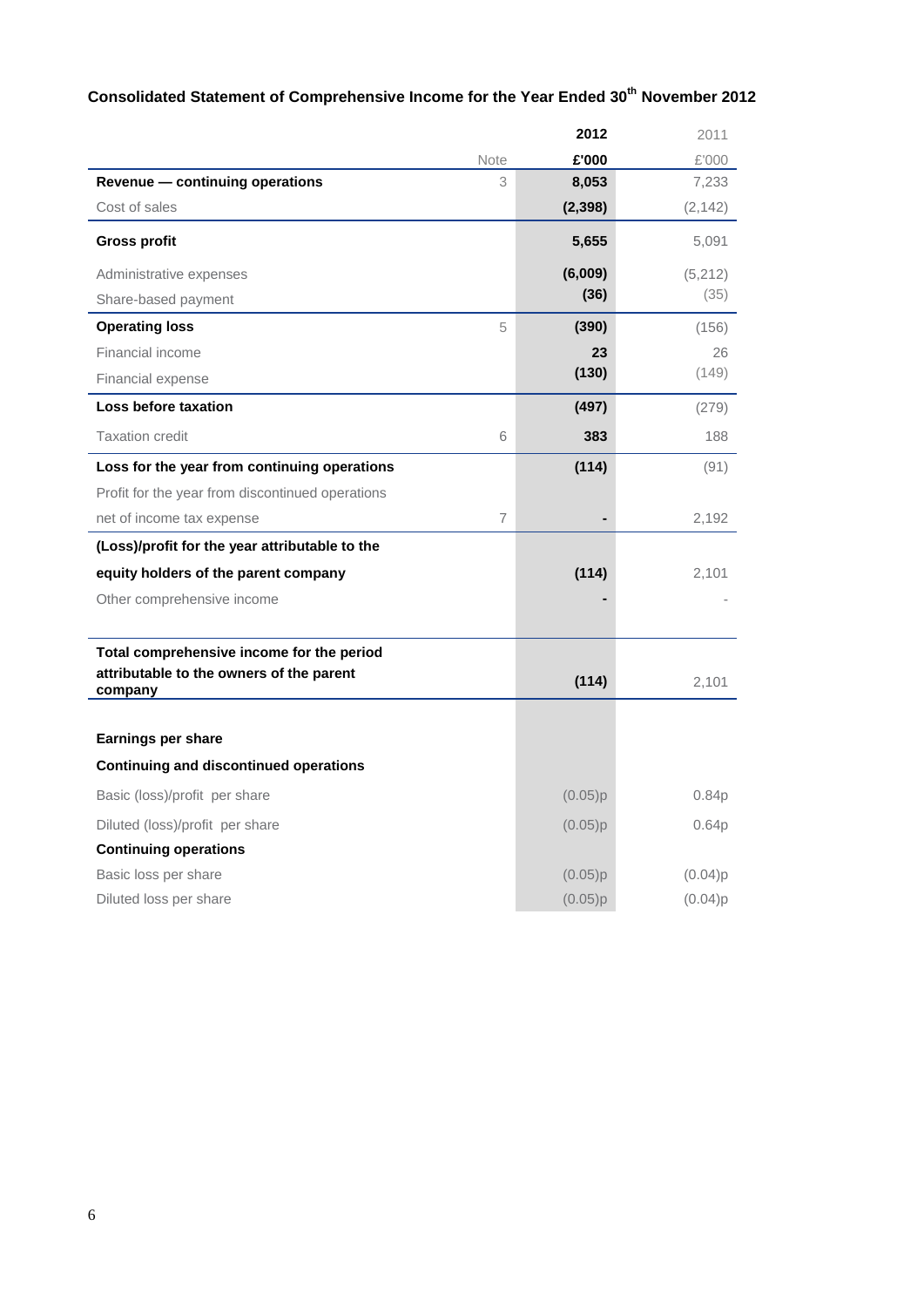# **Consolidated Statement of Comprehensive Income for the Year Ended 30th November 2012**

|                                                     |      | 2012     | 2011              |
|-----------------------------------------------------|------|----------|-------------------|
|                                                     | Note | £'000    | £'000             |
| Revenue - continuing operations                     | 3    | 8,053    | 7,233             |
| Cost of sales                                       |      | (2, 398) | (2, 142)          |
| <b>Gross profit</b>                                 |      | 5,655    | 5,091             |
| Administrative expenses                             |      | (6,009)  | (5,212)           |
| Share-based payment                                 |      | (36)     | (35)              |
| <b>Operating loss</b>                               | 5    | (390)    | (156)             |
| Financial income                                    |      | 23       | 26                |
| Financial expense                                   |      | (130)    | (149)             |
| Loss before taxation                                |      | (497)    | (279)             |
| <b>Taxation credit</b>                              | 6    | 383      | 188               |
| Loss for the year from continuing operations        |      | (114)    | (91)              |
| Profit for the year from discontinued operations    |      |          |                   |
| net of income tax expense                           | 7    |          | 2,192             |
| (Loss)/profit for the year attributable to the      |      |          |                   |
| equity holders of the parent company                |      | (114)    | 2,101             |
| Other comprehensive income                          |      |          |                   |
|                                                     |      |          |                   |
| Total comprehensive income for the period           |      |          |                   |
| attributable to the owners of the parent<br>company |      | (114)    | 2,101             |
|                                                     |      |          |                   |
| Earnings per share                                  |      |          |                   |
| <b>Continuing and discontinued operations</b>       |      |          |                   |
| Basic (loss)/profit per share                       |      | (0.05)p  | 0.84 <sub>p</sub> |
| Diluted (loss)/profit per share                     |      | (0.05)p  | 0.64 <sub>p</sub> |
| <b>Continuing operations</b>                        |      |          |                   |
| Basic loss per share                                |      | (0.05)p  | (0.04)p           |
| Diluted loss per share                              |      | (0.05)p  | (0.04)p           |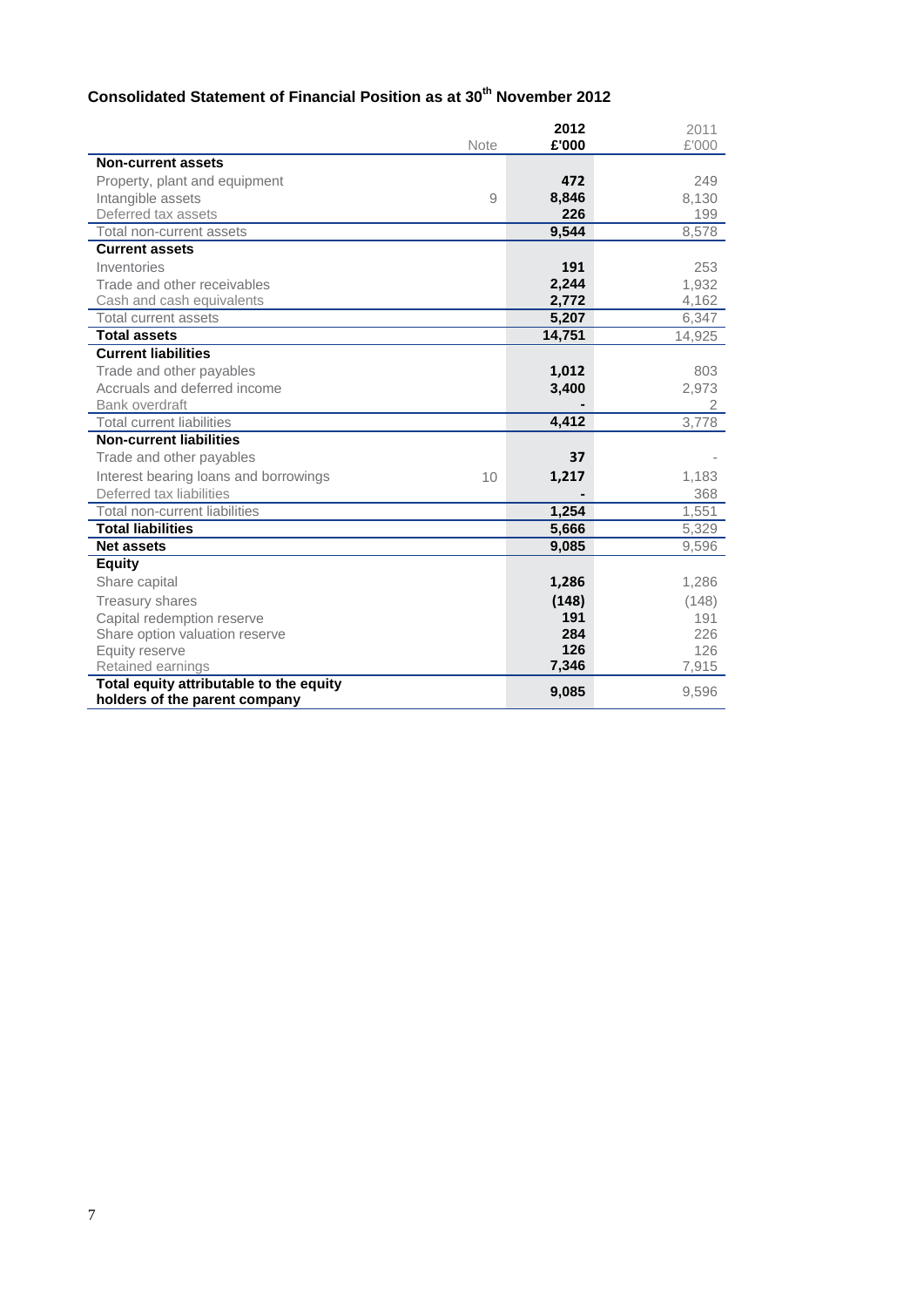# **Consolidated Statement of Financial Position as at 30th November 2012**

|                                         | Note | 2012<br>£'000 | 2011<br>£'000 |
|-----------------------------------------|------|---------------|---------------|
| <b>Non-current assets</b>               |      |               |               |
| Property, plant and equipment           |      | 472           | 249           |
| Intangible assets                       | 9    | 8,846         | 8,130         |
| Deferred tax assets                     |      | 226           | 199           |
| Total non-current assets                |      | 9,544         | 8,578         |
| <b>Current assets</b>                   |      |               |               |
| Inventories                             |      | 191           | 253           |
| Trade and other receivables             |      | 2,244         | 1,932         |
| Cash and cash equivalents               |      | 2,772         | 4,162         |
| Total current assets                    |      | 5,207         | 6,347         |
| <b>Total assets</b>                     |      | 14,751        | 14,925        |
| <b>Current liabilities</b>              |      |               |               |
| Trade and other payables                |      | 1,012         | 803           |
| Accruals and deferred income            |      | 3,400         | 2,973         |
| Bank overdraft                          |      |               | 2             |
| <b>Total current liabilities</b>        |      | 4,412         | 3.778         |
| <b>Non-current liabilities</b>          |      |               |               |
| Trade and other payables                |      | 37            |               |
| Interest bearing loans and borrowings   | 10   | 1,217         | 1,183         |
| Deferred tax liabilities                |      |               | 368           |
| Total non-current liabilities           |      | 1,254         | 1,551         |
| <b>Total liabilities</b>                |      | 5,666         | 5,329         |
| <b>Net assets</b>                       |      | 9,085         | 9,596         |
| <b>Equity</b>                           |      |               |               |
| Share capital                           |      | 1,286         | 1,286         |
| <b>Treasury shares</b>                  |      | (148)         | (148)         |
| Capital redemption reserve              |      | 191           | 191           |
| Share option valuation reserve          |      | 284           | 226           |
| Equity reserve                          |      | 126           | 126           |
| Retained earnings                       |      | 7,346         | 7,915         |
| Total equity attributable to the equity |      | 9,085         | 9,596         |
| holders of the parent company           |      |               |               |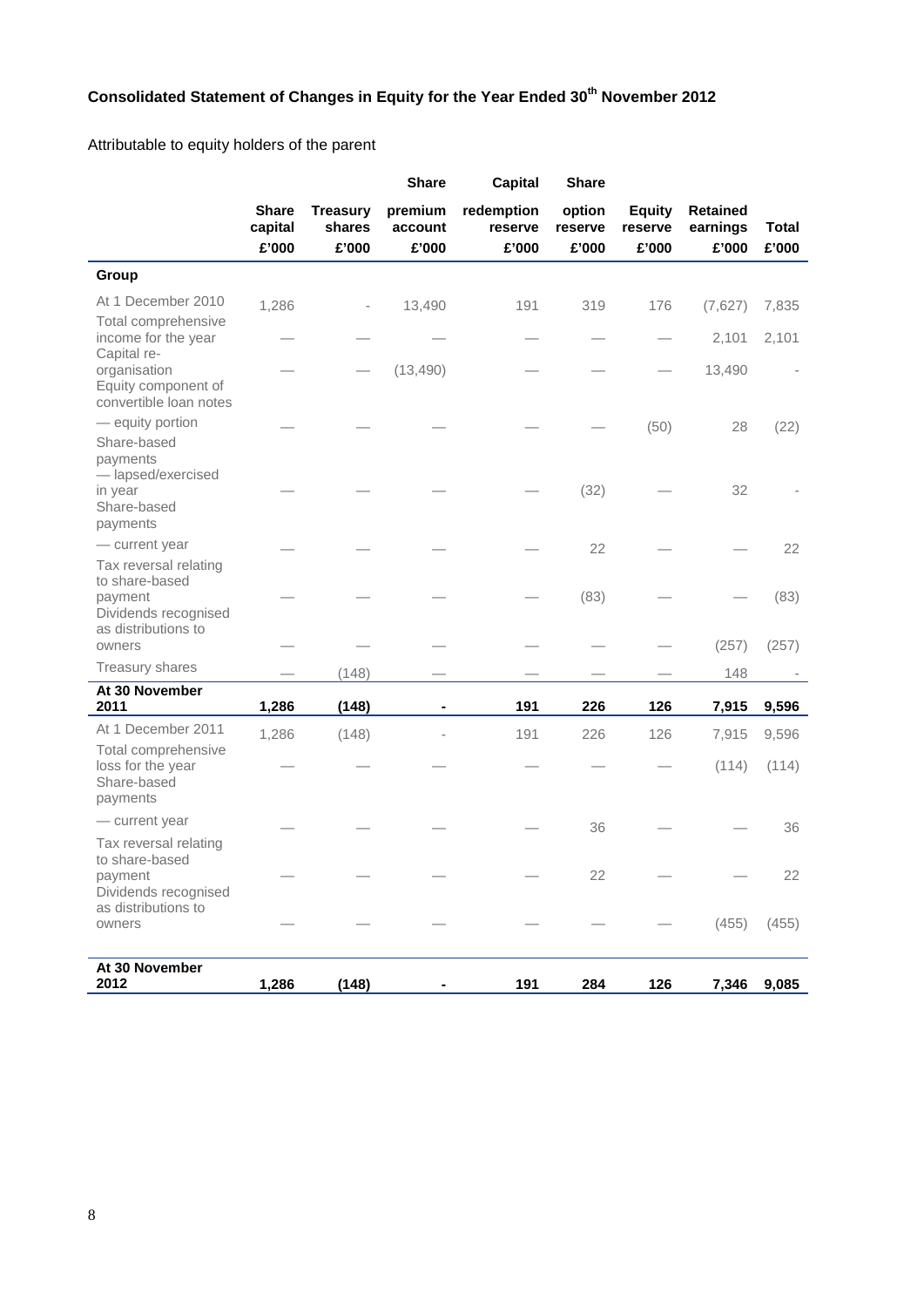# **Consolidated Statement of Changes in Equity for the Year Ended 30th November 2012**

Attributable to equity holders of the parent

|                                                                                                             |                         |                           | <b>Share</b>       | <b>Capital</b>        | <b>Share</b>      |                          |                             |              |
|-------------------------------------------------------------------------------------------------------------|-------------------------|---------------------------|--------------------|-----------------------|-------------------|--------------------------|-----------------------------|--------------|
|                                                                                                             | <b>Share</b><br>capital | <b>Treasury</b><br>shares | premium<br>account | redemption<br>reserve | option<br>reserve | <b>Equity</b><br>reserve | <b>Retained</b><br>earnings | <b>Total</b> |
|                                                                                                             | £'000                   | £'000                     | £'000              | £'000                 | £'000             | £'000                    | £'000                       | £'000        |
| Group                                                                                                       |                         |                           |                    |                       |                   |                          |                             |              |
| At 1 December 2010                                                                                          | 1,286                   |                           | 13,490             | 191                   | 319               | 176                      | (7,627)                     | 7,835        |
| Total comprehensive<br>income for the year<br>Capital re-                                                   |                         |                           |                    |                       |                   |                          | 2,101                       | 2,101        |
| organisation<br>Equity component of<br>convertible loan notes                                               |                         |                           | (13, 490)          |                       |                   |                          | 13,490                      |              |
| - equity portion<br>Share-based                                                                             |                         |                           |                    |                       |                   | (50)                     | 28                          | (22)         |
| payments<br>- lapsed/exercised<br>in year<br>Share-based<br>payments                                        |                         |                           |                    |                       | (32)              |                          | 32                          |              |
| - current year                                                                                              |                         |                           |                    |                       | 22                |                          |                             | 22           |
| Tax reversal relating<br>to share-based<br>payment<br>Dividends recognised                                  |                         |                           |                    |                       | (83)              |                          |                             | (83)         |
| as distributions to<br>owners                                                                               |                         |                           |                    |                       |                   |                          | (257)                       | (257)        |
| Treasury shares                                                                                             |                         | (148)                     |                    |                       |                   |                          | 148                         |              |
| At 30 November<br>2011                                                                                      | 1,286                   | (148)                     |                    | 191                   | 226               | 126                      | 7,915                       | 9,596        |
| At 1 December 2011                                                                                          | 1,286                   | (148)                     |                    | 191                   | 226               | 126                      | 7,915                       | 9,596        |
| Total comprehensive<br>loss for the year<br>Share-based<br>payments                                         |                         |                           |                    |                       |                   |                          | (114)                       | (114)        |
| - current year                                                                                              |                         |                           |                    |                       | 36                |                          |                             | 36           |
| Tax reversal relating<br>to share-based<br>payment<br>Dividends recognised<br>as distributions to<br>owners |                         |                           |                    |                       | 22                |                          | (455)                       | 22<br>(455)  |
|                                                                                                             |                         |                           |                    |                       |                   |                          |                             |              |
| At 30 November<br>2012                                                                                      | 1,286                   | (148)                     |                    | 191                   | 284               | 126                      | 7,346                       | 9,085        |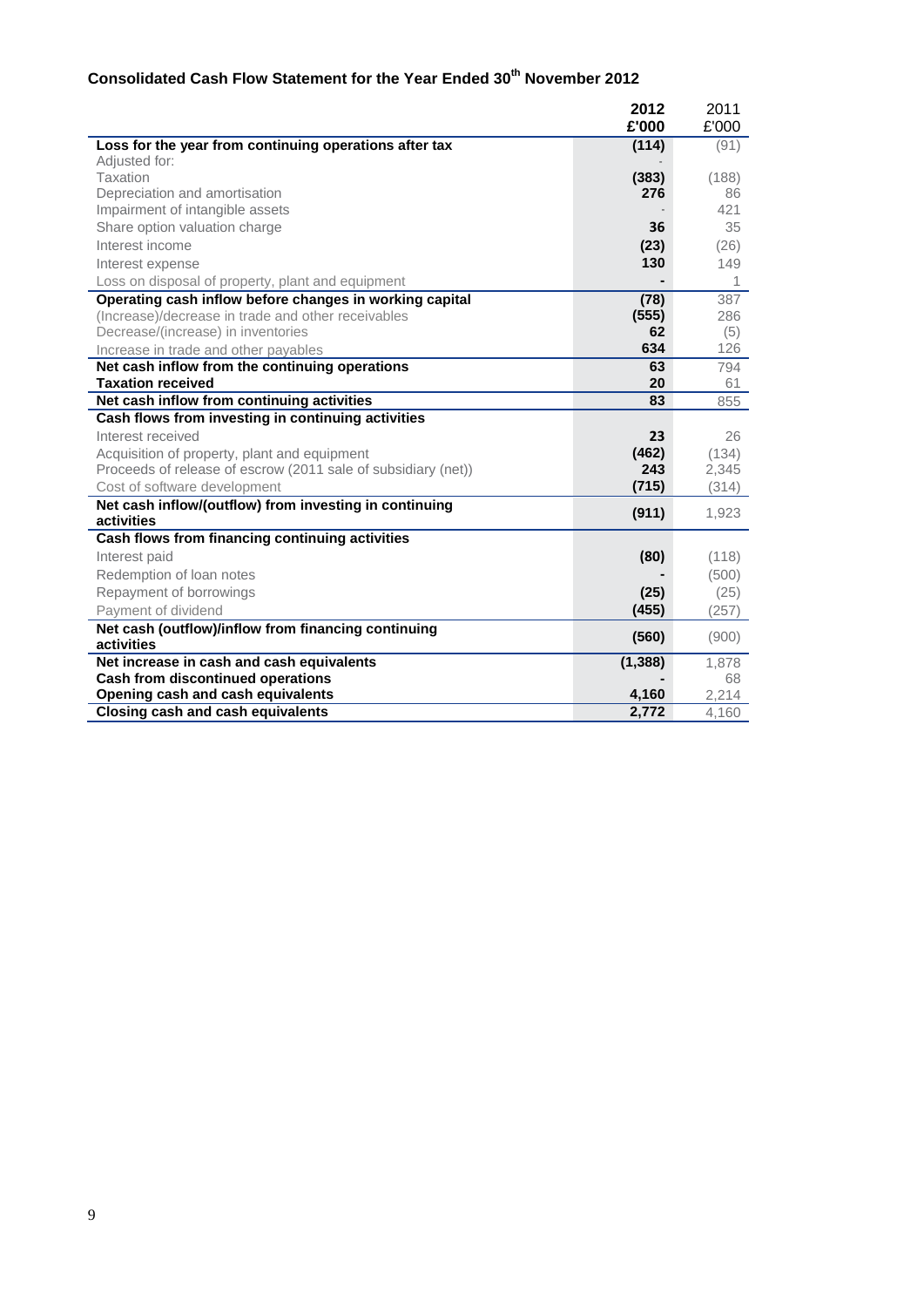# **Consolidated Cash Flow Statement for the Year Ended 30th November 2012**

|                                                                      | 2012         | 2011  |
|----------------------------------------------------------------------|--------------|-------|
|                                                                      | £'000        | £'000 |
| Loss for the year from continuing operations after tax               | (114)        | (91)  |
| Adjusted for:                                                        |              |       |
| Taxation                                                             | (383)        | (188) |
| Depreciation and amortisation                                        | 276          | 86    |
| Impairment of intangible assets                                      |              | 421   |
| Share option valuation charge                                        | 36           | 35    |
| Interest income                                                      | (23)         | (26)  |
| Interest expense                                                     | 130          | 149   |
| Loss on disposal of property, plant and equipment                    |              | 1     |
| Operating cash inflow before changes in working capital              | (78)         | 387   |
| (Increase)/decrease in trade and other receivables                   | (555)        | 286   |
| Decrease/(increase) in inventories                                   | 62           | (5)   |
| Increase in trade and other payables                                 | 634          | 126   |
| Net cash inflow from the continuing operations                       | 63           | 794   |
| <b>Taxation received</b>                                             | 20           | 61    |
| Net cash inflow from continuing activities                           | 83           | 855   |
| Cash flows from investing in continuing activities                   |              |       |
| Interest received                                                    | 23           | 26    |
| Acquisition of property, plant and equipment                         | (462)<br>243 | (134) |
| Proceeds of release of escrow (2011 sale of subsidiary (net))        | (715)        | 2,345 |
| Cost of software development                                         |              | (314) |
| Net cash inflow/(outflow) from investing in continuing<br>activities | (911)        | 1,923 |
| Cash flows from financing continuing activities                      |              |       |
| Interest paid                                                        | (80)         | (118) |
| Redemption of loan notes                                             |              | (500) |
|                                                                      |              |       |
| Repayment of borrowings                                              | (25)         | (25)  |
| Payment of dividend                                                  | (455)        | (257) |
| Net cash (outflow)/inflow from financing continuing<br>activities    | (560)        | (900) |
| Net increase in cash and cash equivalents                            | (1, 388)     | 1,878 |
| Cash from discontinued operations                                    |              | 68    |
| Opening cash and cash equivalents                                    | 4,160        | 2,214 |
| Closing cash and cash equivalents                                    | 2,772        | 4,160 |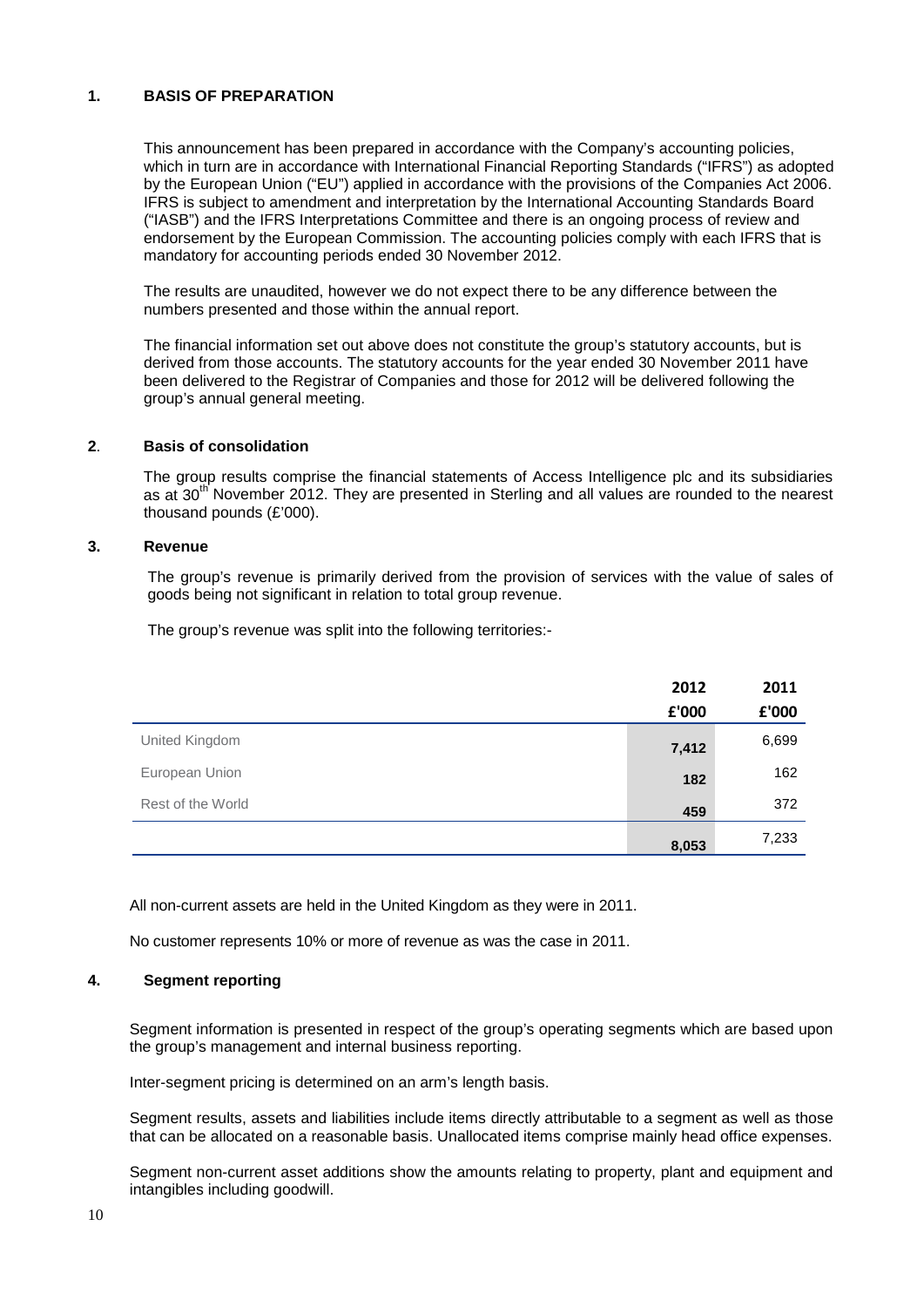### **1. BASIS OF PREPARATION**

This announcement has been prepared in accordance with the Company's accounting policies, which in turn are in accordance with International Financial Reporting Standards ("IFRS") as adopted by the European Union ("EU") applied in accordance with the provisions of the Companies Act 2006. IFRS is subject to amendment and interpretation by the International Accounting Standards Board ("IASB") and the IFRS Interpretations Committee and there is an ongoing process of review and endorsement by the European Commission. The accounting policies comply with each IFRS that is mandatory for accounting periods ended 30 November 2012.

The results are unaudited, however we do not expect there to be any difference between the numbers presented and those within the annual report.

The financial information set out above does not constitute the group's statutory accounts, but is derived from those accounts. The statutory accounts for the year ended 30 November 2011 have been delivered to the Registrar of Companies and those for 2012 will be delivered following the group's annual general meeting.

### **2**. **Basis of consolidation**

The group results comprise the financial statements of Access Intelligence plc and its subsidiaries as at  $30<sup>th</sup>$  November 2012. They are presented in Sterling and all values are rounded to the nearest thousand pounds (£'000).

#### **3. Revenue**

The group's revenue is primarily derived from the provision of services with the value of sales of goods being not significant in relation to total group revenue.

The group's revenue was split into the following territories:-

|                   | 2012  | 2011  |
|-------------------|-------|-------|
|                   | £'000 | £'000 |
| United Kingdom    | 7,412 | 6,699 |
| European Union    | 182   | 162   |
| Rest of the World | 459   | 372   |
|                   | 8,053 | 7,233 |

All non-current assets are held in the United Kingdom as they were in 2011.

No customer represents 10% or more of revenue as was the case in 2011.

#### **4. Segment reporting**

Segment information is presented in respect of the group's operating segments which are based upon the group's management and internal business reporting.

Inter-segment pricing is determined on an arm's length basis.

Segment results, assets and liabilities include items directly attributable to a segment as well as those that can be allocated on a reasonable basis. Unallocated items comprise mainly head office expenses.

Segment non-current asset additions show the amounts relating to property, plant and equipment and intangibles including goodwill.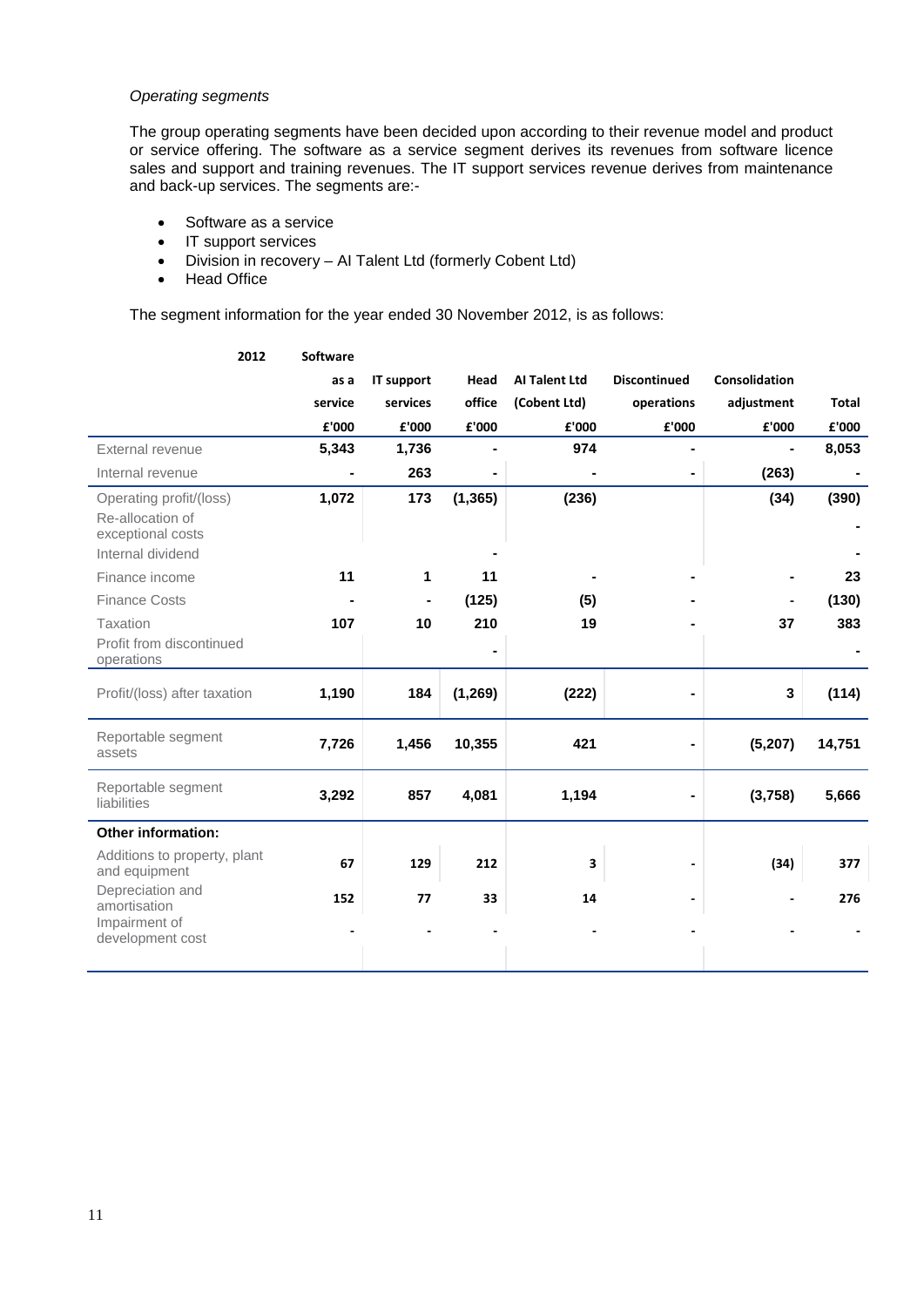### *Operating segments*

The group operating segments have been decided upon according to their revenue model and product or service offering. The software as a service segment derives its revenues from software licence sales and support and training revenues. The IT support services revenue derives from maintenance and back-up services. The segments are:-

- Software as a service
- IT support services
- Division in recovery AI Talent Ltd (formerly Cobent Ltd)<br>• Head Office
- Head Office

The segment information for the year ended 30 November 2012, is as follows:

| 2012                                              | <b>Software</b> |            |          |                      |                     |               |              |
|---------------------------------------------------|-----------------|------------|----------|----------------------|---------------------|---------------|--------------|
|                                                   | as a            | IT support | Head     | <b>AI Talent Ltd</b> | <b>Discontinued</b> | Consolidation |              |
|                                                   | service         | services   | office   | (Cobent Ltd)         | operations          | adjustment    | <b>Total</b> |
|                                                   | £'000           | £'000      | £'000    | £'000                | £'000               | £'000         | £'000        |
| External revenue                                  | 5,343           | 1,736      |          | 974                  |                     |               | 8,053        |
| Internal revenue                                  |                 | 263        |          |                      |                     | (263)         |              |
| Operating profit/(loss)<br>Re-allocation of       | 1,072           | 173        | (1, 365) | (236)                |                     | (34)          | (390)        |
| exceptional costs<br>Internal dividend            |                 |            |          |                      |                     |               |              |
| Finance income                                    | 11              | 1          | 11       |                      |                     |               | 23           |
| <b>Finance Costs</b>                              |                 |            | (125)    | (5)                  |                     |               | (130)        |
| Taxation                                          | 107             | 10         | 210      | 19                   |                     | 37            | 383          |
| Profit from discontinued<br>operations            |                 |            |          |                      |                     |               |              |
| Profit/(loss) after taxation                      | 1,190           | 184        | (1, 269) | (222)                |                     | 3             | (114)        |
| Reportable segment<br>assets                      | 7,726           | 1,456      | 10,355   | 421                  |                     | (5,207)       | 14,751       |
| Reportable segment<br>liabilities                 | 3,292           | 857        | 4,081    | 1,194                |                     | (3,758)       | 5,666        |
| <b>Other information:</b>                         |                 |            |          |                      |                     |               |              |
| Additions to property, plant<br>and equipment     | 67              | 129        | 212      | 3                    |                     | (34)          | 377          |
| Depreciation and<br>amortisation<br>Impairment of | 152             | 77         | 33       | 14                   |                     |               | 276          |
| development cost                                  |                 |            |          |                      |                     |               |              |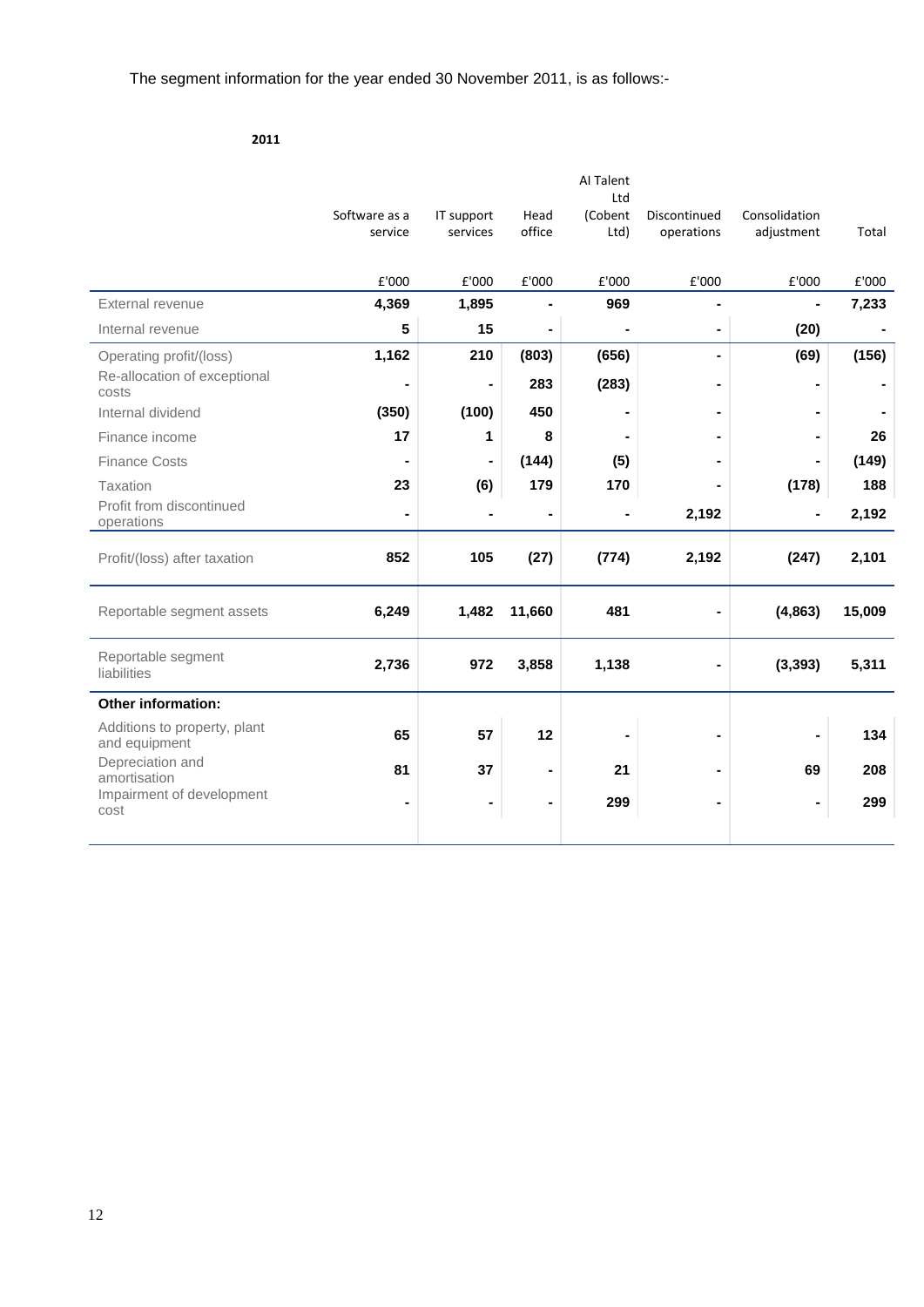### **2011**

|                |                      |                                  | Al Talent                         |                           |               |                            |
|----------------|----------------------|----------------------------------|-----------------------------------|---------------------------|---------------|----------------------------|
| Software as a  |                      | Head                             | (Cobent                           | Discontinued              | Consolidation |                            |
| service        | services             | office                           | Ltd)                              | operations                | adjustment    | Total                      |
|                |                      |                                  |                                   |                           |               |                            |
| £'000          | £'000                | £'000                            | £'000                             | £'000                     | £'000         | £'000                      |
| 4,369          | 1,895                |                                  | 969                               |                           |               | 7,233                      |
| 5              | 15                   | $\blacksquare$                   |                                   | $\blacksquare$            | (20)          |                            |
| 1,162          | 210                  | (803)                            | (656)                             | $\blacksquare$            | (69)          | (156)                      |
|                | $\blacksquare$       | 283                              | (283)                             | $\blacksquare$            |               |                            |
| (350)          | (100)                | 450                              |                                   | $\blacksquare$            |               |                            |
| 17             | 1                    | 8                                |                                   |                           |               | 26                         |
|                | $\blacksquare$       | (144)                            | (5)                               |                           |               | (149)                      |
| 23             | (6)                  | 179                              | 170                               | $\blacksquare$            | (178)         | 188                        |
| $\blacksquare$ |                      |                                  |                                   | 2,192                     |               | 2,192                      |
|                |                      |                                  |                                   |                           |               |                            |
| 852            | 105                  | (27)                             | (774)                             | 2,192                     | (247)         | 2,101                      |
|                |                      |                                  |                                   |                           |               | 15,009                     |
|                |                      |                                  |                                   |                           |               |                            |
|                |                      |                                  |                                   |                           |               | 5,311                      |
|                |                      |                                  |                                   |                           |               |                            |
|                |                      |                                  |                                   |                           |               |                            |
| 65             | 57                   | 12                               |                                   |                           |               | 134                        |
|                |                      |                                  |                                   |                           |               |                            |
|                |                      |                                  |                                   |                           |               | 208                        |
|                |                      | $\blacksquare$                   | 299                               | $\blacksquare$            |               | 299                        |
|                |                      |                                  |                                   |                           |               |                            |
|                | 6,249<br>2,736<br>81 | IT support<br>1,482<br>972<br>37 | 11,660<br>3,858<br>$\blacksquare$ | Ltd<br>481<br>1,138<br>21 |               | (4, 863)<br>(3, 393)<br>69 |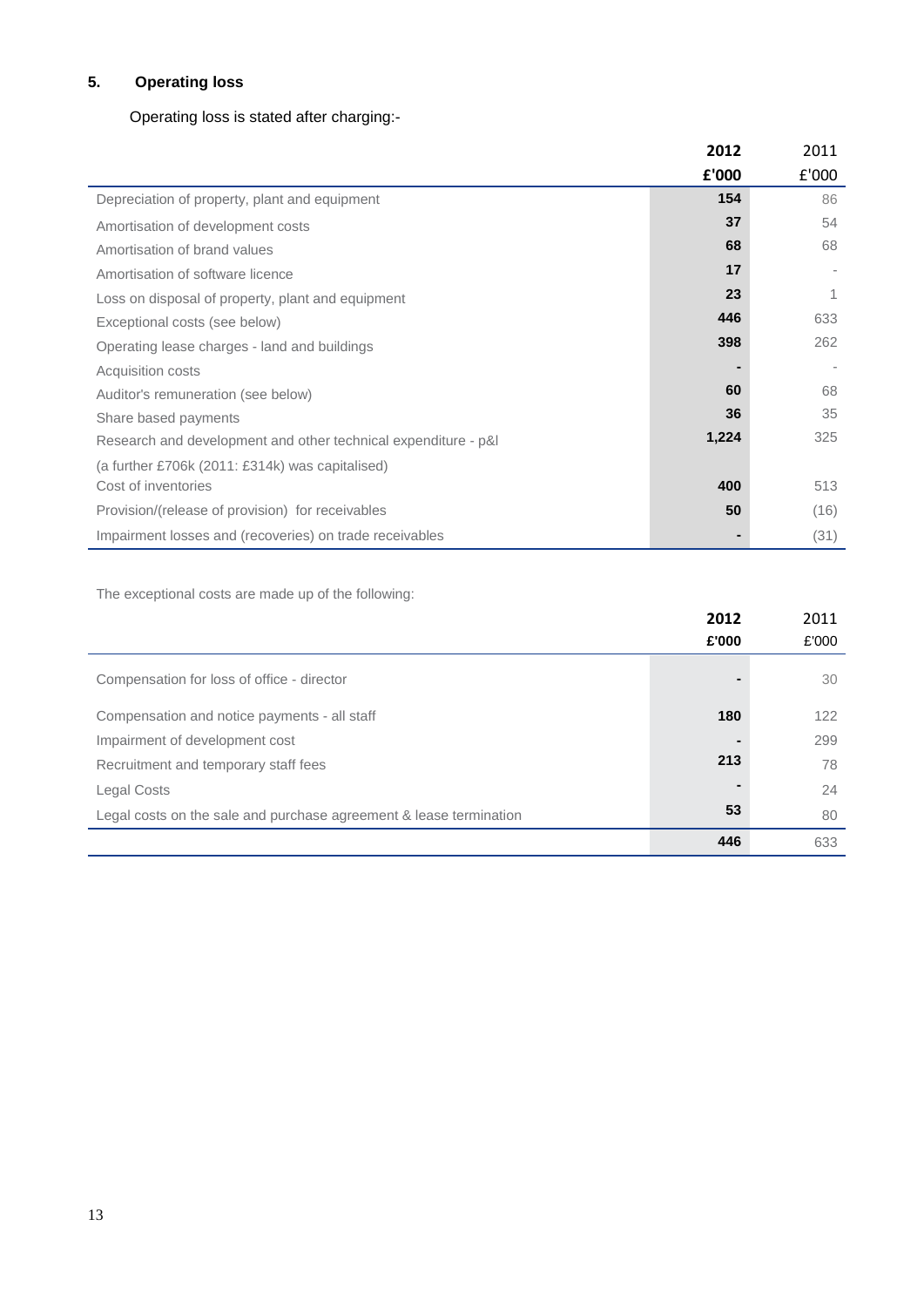# **5. Operating loss**

# Operating loss is stated after charging:-

|                                                                | 2012  | 2011  |
|----------------------------------------------------------------|-------|-------|
|                                                                | £'000 | £'000 |
| Depreciation of property, plant and equipment                  | 154   | 86    |
| Amortisation of development costs                              | 37    | 54    |
| Amortisation of brand values                                   | 68    | 68    |
| Amortisation of software licence                               | 17    |       |
| Loss on disposal of property, plant and equipment              | 23    | 1     |
| Exceptional costs (see below)                                  | 446   | 633   |
| Operating lease charges - land and buildings                   | 398   | 262   |
| Acquisition costs                                              |       |       |
| Auditor's remuneration (see below)                             | 60    | 68    |
| Share based payments                                           | 36    | 35    |
| Research and development and other technical expenditure - p&l | 1,224 | 325   |
| (a further £706k (2011: £314k) was capitalised)                |       |       |
| Cost of inventories                                            | 400   | 513   |
| Provision/(release of provision) for receivables               | 50    | (16)  |
| Impairment losses and (recoveries) on trade receivables        |       | (31)  |

The exceptional costs are made up of the following:

|                                                                    | 2012           | 2011  |
|--------------------------------------------------------------------|----------------|-------|
|                                                                    | £'000          | £'000 |
| Compensation for loss of office - director                         | -              | 30    |
| Compensation and notice payments - all staff                       | 180            | 122   |
| Impairment of development cost                                     | -              | 299   |
| Recruitment and temporary staff fees                               | 213            | 78    |
| Legal Costs                                                        | $\blacksquare$ | 24    |
| Legal costs on the sale and purchase agreement & lease termination | 53             | 80    |
|                                                                    | 446            | 633   |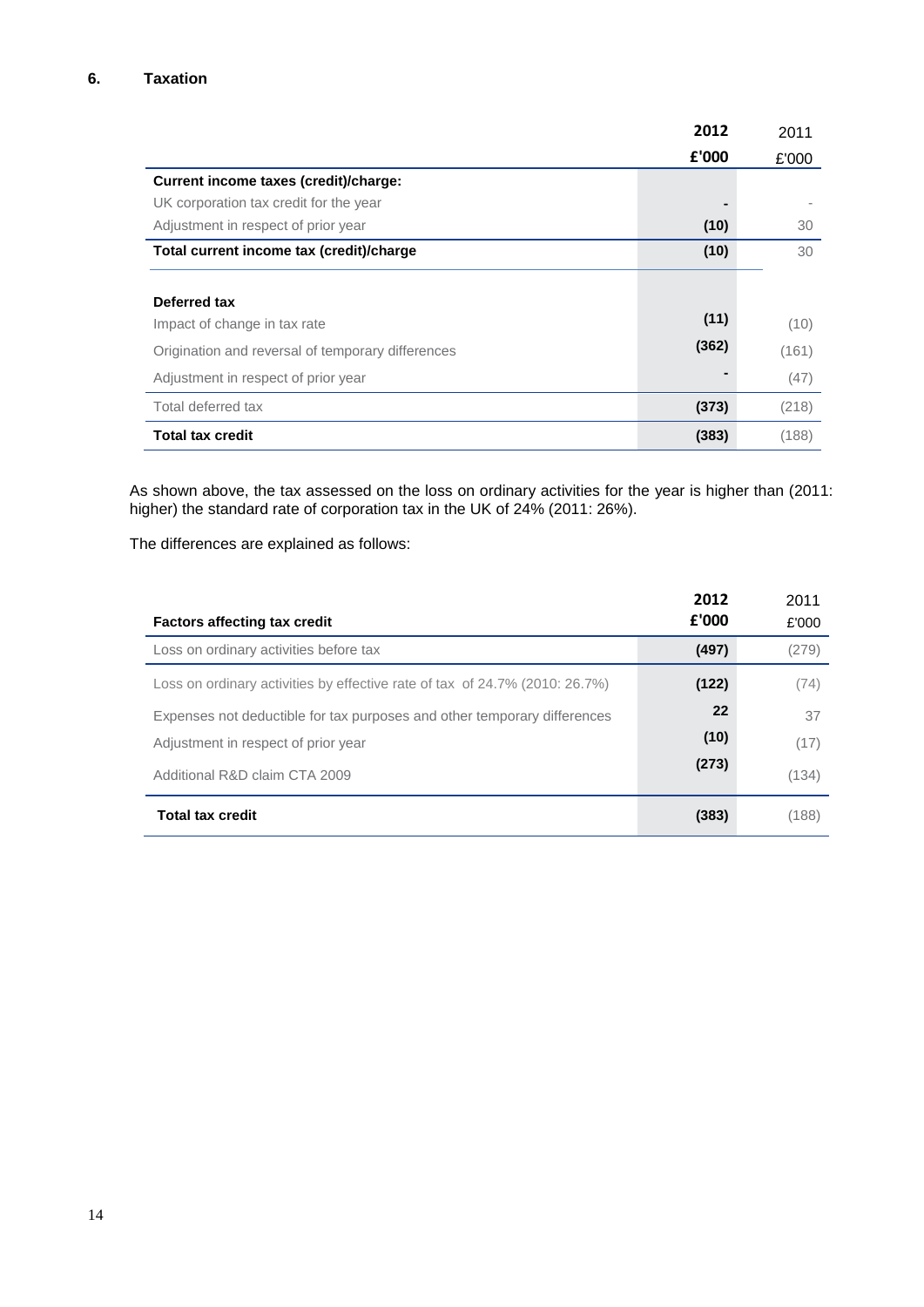|                                                   | 2012  | 2011  |
|---------------------------------------------------|-------|-------|
|                                                   | £'000 | £'000 |
| Current income taxes (credit)/charge:             |       |       |
| UK corporation tax credit for the year            |       |       |
| Adjustment in respect of prior year               | (10)  | 30    |
| Total current income tax (credit)/charge          | (10)  | 30    |
|                                                   |       |       |
| Deferred tax                                      |       |       |
| Impact of change in tax rate                      | (11)  | (10)  |
| Origination and reversal of temporary differences | (362) | (161) |
| Adjustment in respect of prior year               |       | (47)  |
| Total deferred tax                                | (373) | (218) |
| Total tax credit                                  | (383) | (188) |

As shown above, the tax assessed on the loss on ordinary activities for the year is higher than (2011: higher) the standard rate of corporation tax in the UK of 24% (2011: 26%).

The differences are explained as follows:

| <b>Factors affecting tax credit</b>                                         | 2012<br>£'000 | 2011<br>£'000 |
|-----------------------------------------------------------------------------|---------------|---------------|
| Loss on ordinary activities before tax                                      | (497)         | (279)         |
| Loss on ordinary activities by effective rate of tax of 24.7% (2010: 26.7%) | (122)         | (74)          |
| Expenses not deductible for tax purposes and other temporary differences    | 22            | 37            |
| Adjustment in respect of prior year                                         | (10)          | (17)          |
| Additional R&D claim CTA 2009                                               | (273)         | (134)         |
| <b>Total tax credit</b>                                                     | (383)         | (188)         |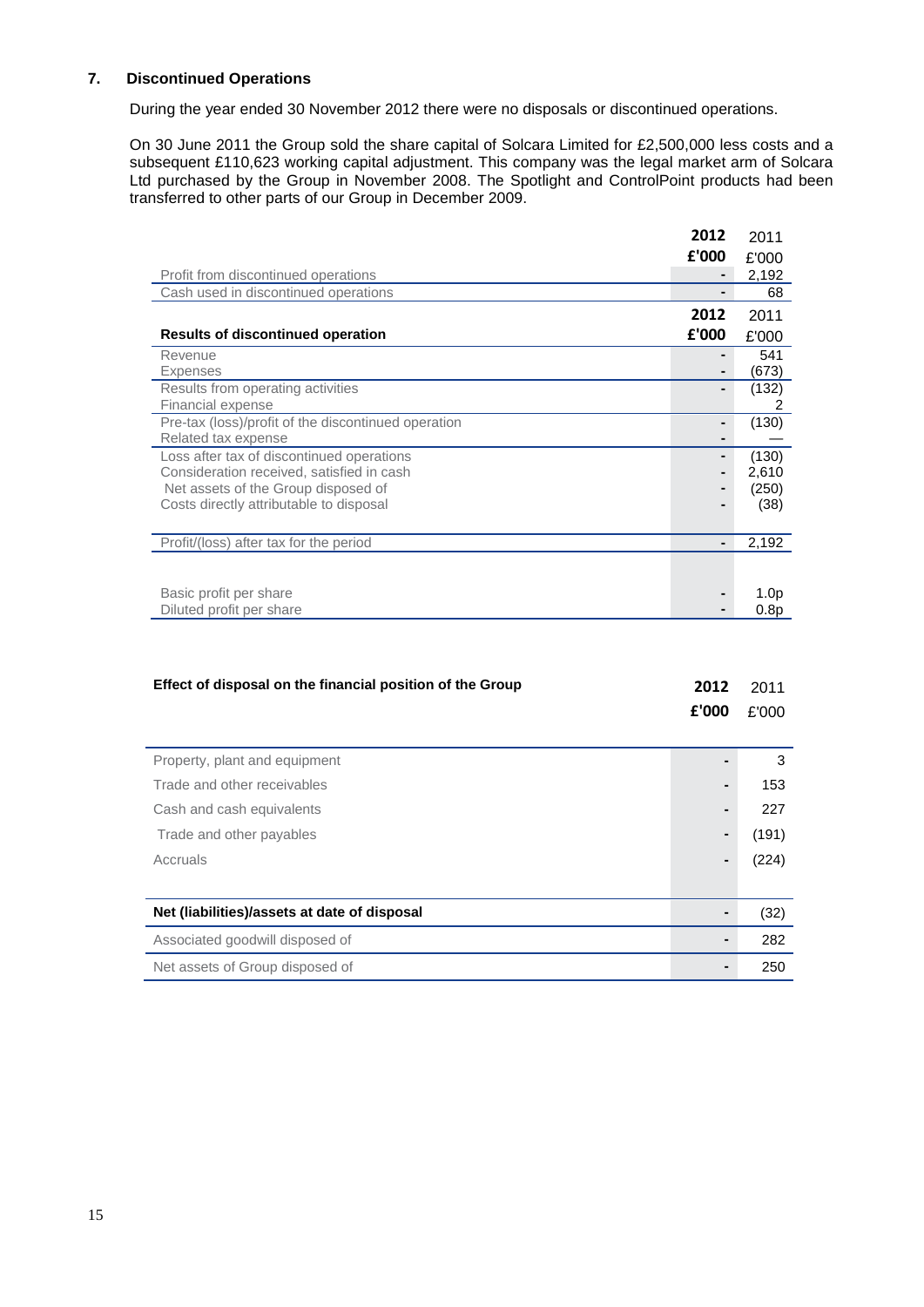# **7. Discontinued Operations**

During the year ended 30 November 2012 there were no disposals or discontinued operations.

On 30 June 2011 the Group sold the share capital of Solcara Limited for £2,500,000 less costs and a subsequent £110,623 working capital adjustment. This company was the legal market arm of Solcara Ltd purchased by the Group in November 2008. The Spotlight and ControlPoint products had been transferred to other parts of our Group in December 2009.

|                                                                                                                                                                          | 2012  | 2011                            |
|--------------------------------------------------------------------------------------------------------------------------------------------------------------------------|-------|---------------------------------|
|                                                                                                                                                                          | £'000 | £'000                           |
| Profit from discontinued operations                                                                                                                                      |       | 2,192                           |
| Cash used in discontinued operations                                                                                                                                     |       | 68                              |
|                                                                                                                                                                          | 2012  | 2011                            |
| <b>Results of discontinued operation</b>                                                                                                                                 | £'000 | £'000                           |
| Revenue<br><b>Expenses</b>                                                                                                                                               |       | 541<br>(673)                    |
| Results from operating activities<br>Financial expense                                                                                                                   |       | (132)<br>2                      |
| Pre-tax (loss)/profit of the discontinued operation<br>Related tax expense                                                                                               |       | (130)                           |
| Loss after tax of discontinued operations<br>Consideration received, satisfied in cash<br>Net assets of the Group disposed of<br>Costs directly attributable to disposal |       | (130)<br>2,610<br>(250)<br>(38) |
| Profit/(loss) after tax for the period                                                                                                                                   |       | 2,192                           |
|                                                                                                                                                                          |       |                                 |
| Basic profit per share                                                                                                                                                   |       | 1.0 <sub>p</sub>                |
| Diluted profit per share                                                                                                                                                 |       | 0.8p                            |

| Effect of disposal on the financial position of the Group | 2012<br>£'000 | 2011<br>£'000 |
|-----------------------------------------------------------|---------------|---------------|
| Property, plant and equipment                             |               | 3             |
| Trade and other receivables                               |               | 153           |
| Cash and cash equivalents                                 |               | 227           |
| Trade and other payables                                  |               | (191)         |
| Accruals                                                  |               | (224)         |
|                                                           |               |               |
| Net (liabilities)/assets at date of disposal              |               | (32)          |
| Associated goodwill disposed of                           |               | 282           |
| Net assets of Group disposed of                           |               | 250           |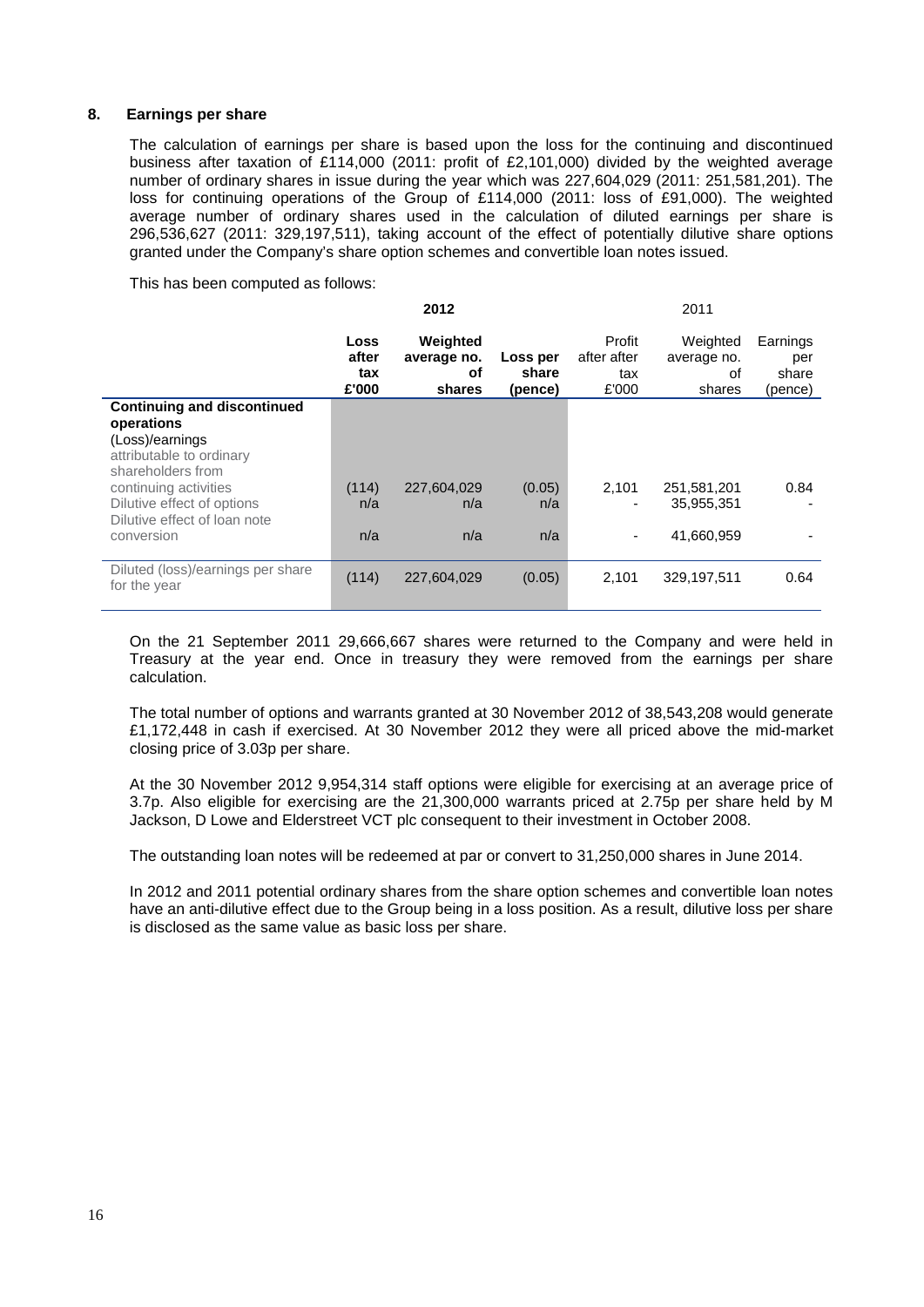### **8. Earnings per share**

The calculation of earnings per share is based upon the loss for the continuing and discontinued business after taxation of £114,000 (2011: profit of £2,101,000) divided by the weighted average number of ordinary shares in issue during the year which was 227,604,029 (2011: 251,581,201). The loss for continuing operations of the Group of £114,000 (2011: loss of £91,000). The weighted average number of ordinary shares used in the calculation of diluted earnings per share is 296,536,627 (2011: 329,197,511), taking account of the effect of potentially dilutive share options granted under the Company's share option schemes and convertible loan notes issued.

This has been computed as follows:

|                                                                                                                      |                               | 2012                                    |                              | 2011                                  |                                         |                                     |
|----------------------------------------------------------------------------------------------------------------------|-------------------------------|-----------------------------------------|------------------------------|---------------------------------------|-----------------------------------------|-------------------------------------|
|                                                                                                                      | Loss<br>after<br>tax<br>£'000 | Weighted<br>average no.<br>οf<br>shares | Loss per<br>share<br>(pence) | Profit<br>after after<br>tax<br>£'000 | Weighted<br>average no.<br>οf<br>shares | Earnings<br>per<br>share<br>(pence) |
| <b>Continuing and discontinued</b><br>operations<br>(Loss)/earnings<br>attributable to ordinary<br>shareholders from |                               |                                         |                              |                                       |                                         |                                     |
| continuing activities<br>Dilutive effect of options<br>Dilutive effect of loan note<br>conversion                    | (114)<br>n/a<br>n/a           | 227,604,029<br>n/a<br>n/a               | (0.05)<br>n/a<br>n/a         | 2,101<br>۰<br>۰                       | 251,581,201<br>35.955.351<br>41,660,959 | 0.84                                |
| Diluted (loss)/earnings per share<br>for the year                                                                    | (114)                         | 227,604,029                             | (0.05)                       | 2,101                                 | 329,197,511                             | 0.64                                |

On the 21 September 2011 29,666,667 shares were returned to the Company and were held in Treasury at the year end. Once in treasury they were removed from the earnings per share calculation.

The total number of options and warrants granted at 30 November 2012 of 38,543,208 would generate £1,172,448 in cash if exercised. At 30 November 2012 they were all priced above the mid-market closing price of 3.03p per share.

At the 30 November 2012 9,954,314 staff options were eligible for exercising at an average price of 3.7p. Also eligible for exercising are the 21,300,000 warrants priced at 2.75p per share held by M Jackson, D Lowe and Elderstreet VCT plc consequent to their investment in October 2008.

The outstanding loan notes will be redeemed at par or convert to 31,250,000 shares in June 2014.

In 2012 and 2011 potential ordinary shares from the share option schemes and convertible loan notes have an anti-dilutive effect due to the Group being in a loss position. As a result, dilutive loss per share is disclosed as the same value as basic loss per share.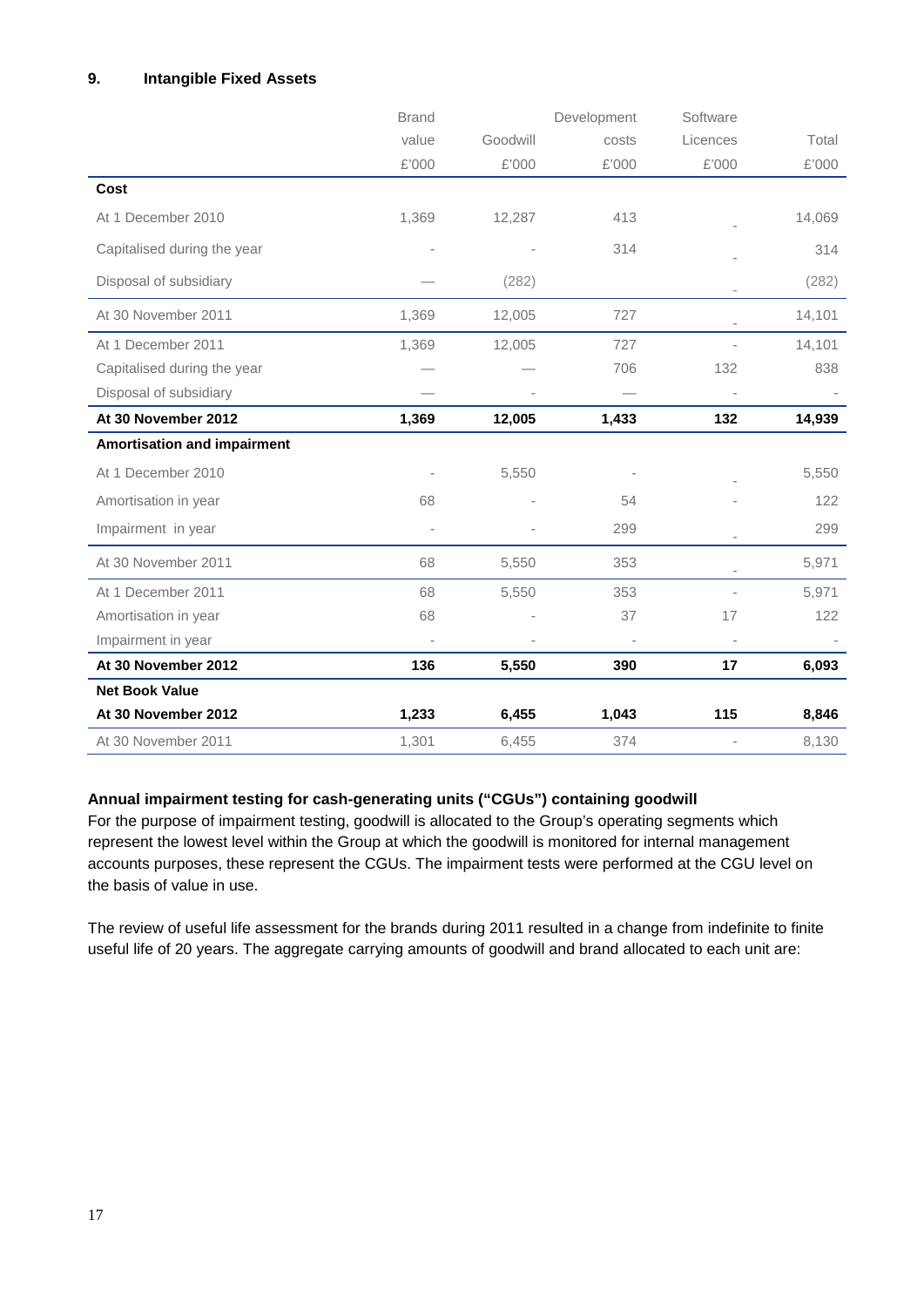# **9. Intangible Fixed Assets**

|                                    | <b>Brand</b> |          | Development | Software |        |
|------------------------------------|--------------|----------|-------------|----------|--------|
|                                    | value        | Goodwill | costs       | Licences | Total  |
|                                    | £'000        | £'000    | £'000       | £'000    | £'000  |
| Cost                               |              |          |             |          |        |
| At 1 December 2010                 | 1,369        | 12,287   | 413         |          | 14,069 |
| Capitalised during the year        |              |          | 314         |          | 314    |
| Disposal of subsidiary             |              | (282)    |             |          | (282)  |
| At 30 November 2011                | 1,369        | 12,005   | 727         |          | 14,101 |
| At 1 December 2011                 | 1,369        | 12,005   | 727         |          | 14,101 |
| Capitalised during the year        |              |          | 706         | 132      | 838    |
| Disposal of subsidiary             |              |          |             |          |        |
| At 30 November 2012                | 1,369        | 12,005   | 1,433       | 132      | 14,939 |
| <b>Amortisation and impairment</b> |              |          |             |          |        |
| At 1 December 2010                 |              | 5,550    |             |          | 5,550  |
| Amortisation in year               | 68           |          | 54          |          | 122    |
| Impairment in year                 |              |          | 299         |          | 299    |
| At 30 November 2011                | 68           | 5,550    | 353         |          | 5,971  |
| At 1 December 2011                 | 68           | 5,550    | 353         |          | 5,971  |
| Amortisation in year               | 68           |          | 37          | 17       | 122    |
| Impairment in year                 |              |          |             |          |        |
| At 30 November 2012                | 136          | 5,550    | 390         | 17       | 6,093  |
| <b>Net Book Value</b>              |              |          |             |          |        |
| At 30 November 2012                | 1,233        | 6,455    | 1,043       | 115      | 8,846  |
| At 30 November 2011                | 1,301        | 6,455    | 374         |          | 8,130  |

# **Annual impairment testing for cash-generating units ("CGUs") containing goodwill**

For the purpose of impairment testing, goodwill is allocated to the Group's operating segments which represent the lowest level within the Group at which the goodwill is monitored for internal management accounts purposes, these represent the CGUs. The impairment tests were performed at the CGU level on the basis of value in use.

The review of useful life assessment for the brands during 2011 resulted in a change from indefinite to finite useful life of 20 years. The aggregate carrying amounts of goodwill and brand allocated to each unit are: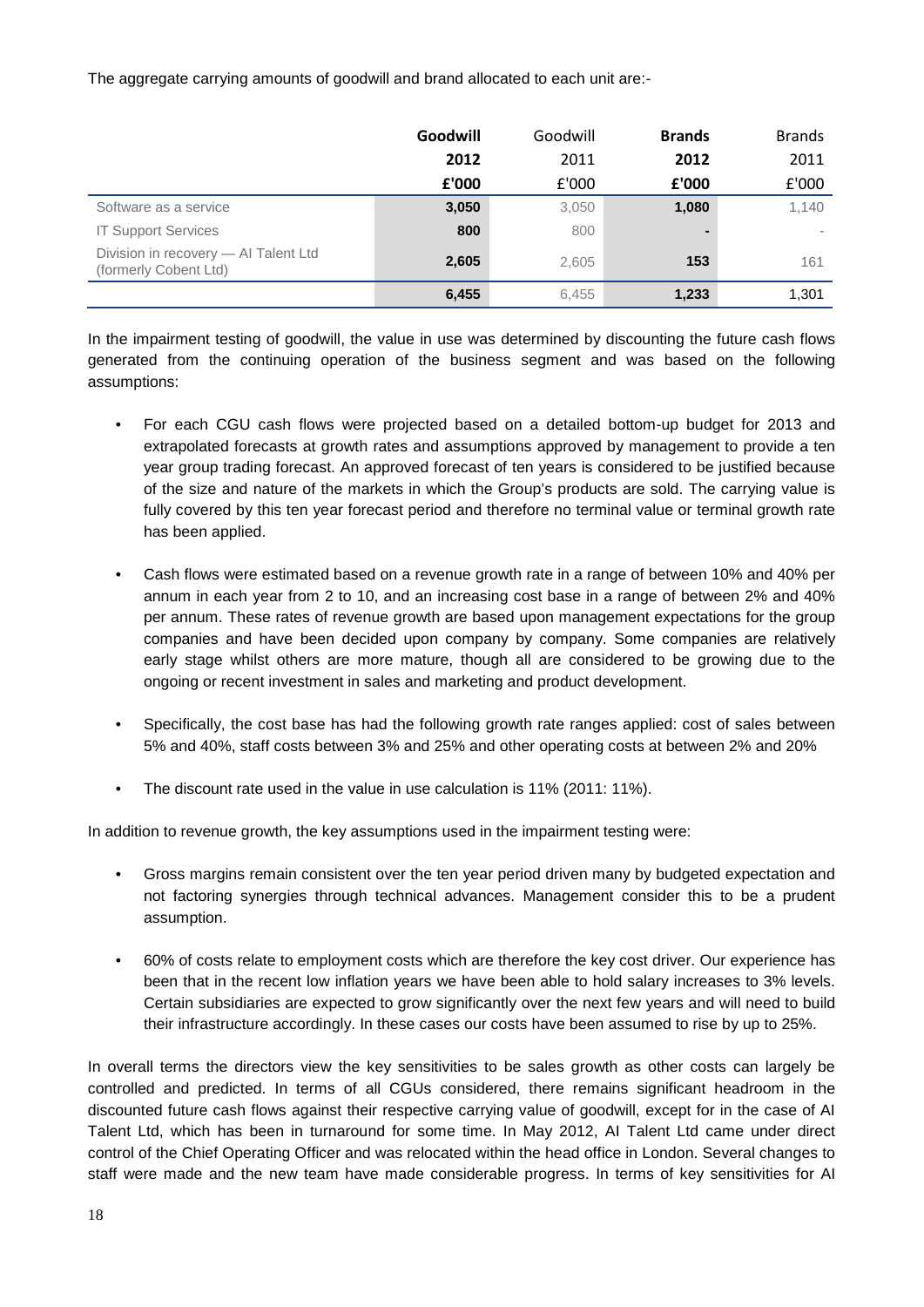The aggregate carrying amounts of goodwill and brand allocated to each unit are:-

|                                                               | Goodwill | Goodwill | <b>Brands</b>  | <b>Brands</b> |
|---------------------------------------------------------------|----------|----------|----------------|---------------|
|                                                               | 2012     | 2011     | 2012           | 2011          |
|                                                               | £'000    | £'000    | £'000          | £'000         |
| Software as a service                                         | 3,050    | 3,050    | 1,080          | 1,140         |
| <b>IT Support Services</b>                                    | 800      | 800      | $\blacksquare$ |               |
| Division in recovery - Al Talent Ltd<br>(formerly Cobent Ltd) | 2,605    | 2,605    | 153            | 161           |
|                                                               | 6,455    | 6,455    | 1,233          | 1,301         |

In the impairment testing of goodwill, the value in use was determined by discounting the future cash flows generated from the continuing operation of the business segment and was based on the following assumptions:

- For each CGU cash flows were projected based on a detailed bottom-up budget for 2013 and extrapolated forecasts at growth rates and assumptions approved by management to provide a ten year group trading forecast. An approved forecast of ten years is considered to be justified because of the size and nature of the markets in which the Group's products are sold. The carrying value is fully covered by this ten year forecast period and therefore no terminal value or terminal growth rate has been applied.
- Cash flows were estimated based on a revenue growth rate in a range of between 10% and 40% per annum in each year from 2 to 10, and an increasing cost base in a range of between 2% and 40% per annum. These rates of revenue growth are based upon management expectations for the group companies and have been decided upon company by company. Some companies are relatively early stage whilst others are more mature, though all are considered to be growing due to the ongoing or recent investment in sales and marketing and product development.
- Specifically, the cost base has had the following growth rate ranges applied: cost of sales between 5% and 40%, staff costs between 3% and 25% and other operating costs at between 2% and 20%
- The discount rate used in the value in use calculation is 11% (2011: 11%).

In addition to revenue growth, the key assumptions used in the impairment testing were:

- Gross margins remain consistent over the ten year period driven many by budgeted expectation and not factoring synergies through technical advances. Management consider this to be a prudent assumption.
- 60% of costs relate to employment costs which are therefore the key cost driver. Our experience has been that in the recent low inflation years we have been able to hold salary increases to 3% levels. Certain subsidiaries are expected to grow significantly over the next few years and will need to build their infrastructure accordingly. In these cases our costs have been assumed to rise by up to 25%.

In overall terms the directors view the key sensitivities to be sales growth as other costs can largely be controlled and predicted. In terms of all CGUs considered, there remains significant headroom in the discounted future cash flows against their respective carrying value of goodwill, except for in the case of AI Talent Ltd, which has been in turnaround for some time. In May 2012, AI Talent Ltd came under direct control of the Chief Operating Officer and was relocated within the head office in London. Several changes to staff were made and the new team have made considerable progress. In terms of key sensitivities for AI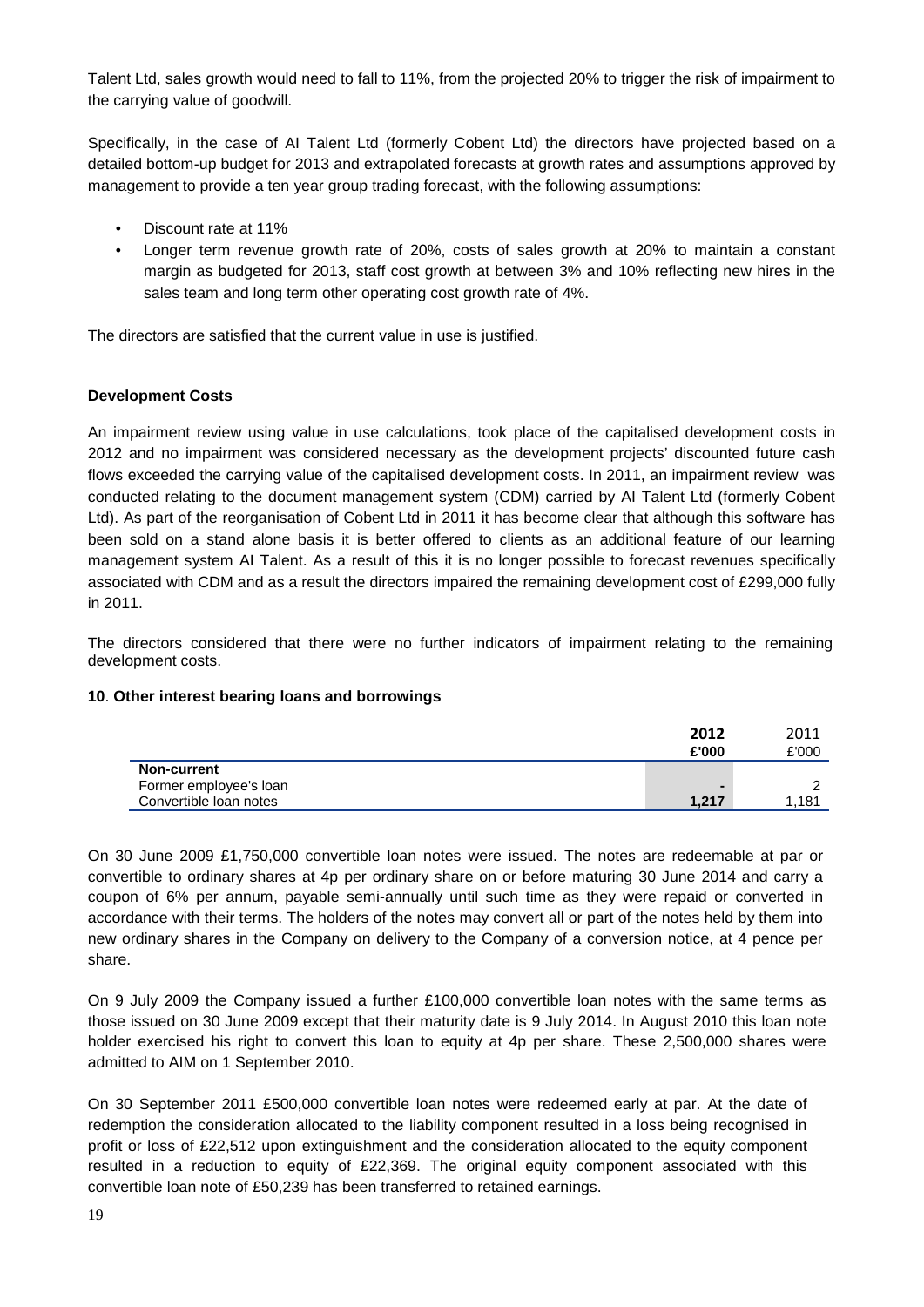Talent Ltd, sales growth would need to fall to 11%, from the projected 20% to trigger the risk of impairment to the carrying value of goodwill.

Specifically, in the case of AI Talent Ltd (formerly Cobent Ltd) the directors have projected based on a detailed bottom-up budget for 2013 and extrapolated forecasts at growth rates and assumptions approved by management to provide a ten year group trading forecast, with the following assumptions:

- Discount rate at 11%
- Longer term revenue growth rate of 20%, costs of sales growth at 20% to maintain a constant margin as budgeted for 2013, staff cost growth at between 3% and 10% reflecting new hires in the sales team and long term other operating cost growth rate of 4%.

The directors are satisfied that the current value in use is justified.

### **Development Costs**

An impairment review using value in use calculations, took place of the capitalised development costs in 2012 and no impairment was considered necessary as the development projects' discounted future cash flows exceeded the carrying value of the capitalised development costs. In 2011, an impairment review was conducted relating to the document management system (CDM) carried by AI Talent Ltd (formerly Cobent Ltd). As part of the reorganisation of Cobent Ltd in 2011 it has become clear that although this software has been sold on a stand alone basis it is better offered to clients as an additional feature of our learning management system AI Talent. As a result of this it is no longer possible to forecast revenues specifically associated with CDM and as a result the directors impaired the remaining development cost of £299,000 fully in 2011.

The directors considered that there were no further indicators of impairment relating to the remaining development costs.

### **10**. **Other interest bearing loans and borrowings**

|                        | 2012  | 2011  |
|------------------------|-------|-------|
|                        | £'000 | £'000 |
| <b>Non-current</b>     |       |       |
| Former employee's loan |       |       |
| Convertible loan notes | 1.217 | l.181 |

On 30 June 2009 £1,750,000 convertible loan notes were issued. The notes are redeemable at par or convertible to ordinary shares at 4p per ordinary share on or before maturing 30 June 2014 and carry a coupon of 6% per annum, payable semi-annually until such time as they were repaid or converted in accordance with their terms. The holders of the notes may convert all or part of the notes held by them into new ordinary shares in the Company on delivery to the Company of a conversion notice, at 4 pence per share.

On 9 July 2009 the Company issued a further £100,000 convertible loan notes with the same terms as those issued on 30 June 2009 except that their maturity date is 9 July 2014. In August 2010 this loan note holder exercised his right to convert this loan to equity at 4p per share. These 2,500,000 shares were admitted to AIM on 1 September 2010.

On 30 September 2011 £500,000 convertible loan notes were redeemed early at par. At the date of redemption the consideration allocated to the liability component resulted in a loss being recognised in profit or loss of £22,512 upon extinguishment and the consideration allocated to the equity component resulted in a reduction to equity of £22,369. The original equity component associated with this convertible loan note of £50,239 has been transferred to retained earnings.